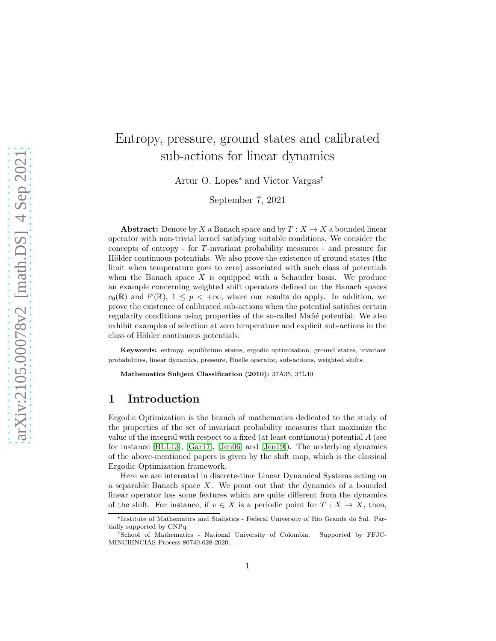# Entropy, pressure, ground states and calibrated sub-actions for linear dynamics

Artur O. Lopes<sup>∗</sup> and Victor Vargas†

September 7, 2021

**Abstract:** Denote by X a Banach space and by  $T : X \to X$  a bounded linear operator with non-trivial kernel satisfying suitable conditions. We consider the concepts of entropy - for T-invariant probability measures - and pressure for Hölder continuous potentials. We also prove the existence of ground states (the limit when temperature goes to zero) associated with such class of potentials when the Banach space  $X$  is equipped with a Schauder basis. We produce an example concerning weighted shift operators defined on the Banach spaces  $c_0(\mathbb{R})$  and  $l^p(\mathbb{R})$ ,  $1 \leq p < +\infty$ , where our results do apply. In addition, we prove the existence of calibrated sub-actions when the potential satisfies certain regularity conditions using properties of the so-called Mañé potential. We also exhibit examples of selection at zero temperature and explicit sub-actions in the class of Hölder continuous potentials.

Keywords: entropy, equilibrium states, ergodic optimization, ground states, invariant probabilities, linear dynamics, pressure, Ruelle operator, sub-actions, weighted shifts.

Mathematics Subject Classification (2010): 37A35, 37L40.

## 1 Introduction

Ergodic Optimization is the branch of mathematics dedicated to the study of the properties of the set of invariant probability measures that maximize the value of the integral with respect to a fixed (at least continuous) potential  $A$  (see for instance [\[BLL13\]](#page-29-0), [\[Gar17\]](#page-30-0), [\[Jen06\]](#page-31-0) and [\[Jen19\]](#page-31-1)). The underlying dynamics of the above-mentioned papers is given by the shift map, which is the classical Ergodic Optimization framework.

Here we are interested in discrete-time Linear Dynamical Systems acting on a separable Banach space X. We point out that the dynamics of a bounded linear operator has some features which are quite different from the dynamics of the shift. For instance, if  $v \in X$  is a periodic point for  $T : X \to X$ , then,

<sup>∗</sup> Institute of Mathematics and Statistics - Federal University of Rio Grande do Sul. Partially supported by CNPq.

<sup>†</sup>School of Mathematics - National University of Colombia. Supported by FFJC-MINCIENCIAS Process 80740-628-2020.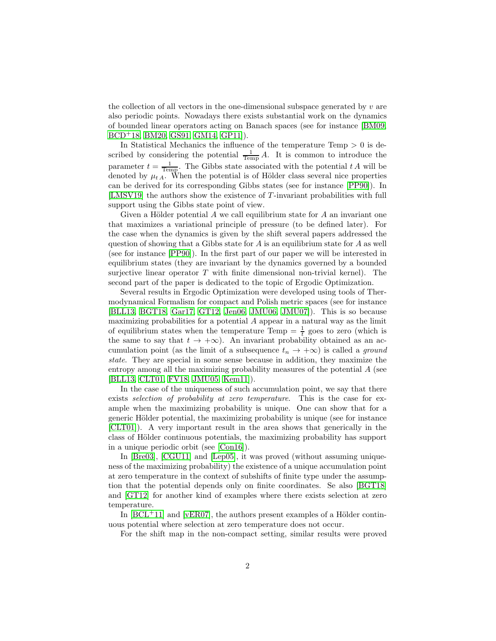the collection of all vectors in the one-dimensional subspace generated by v are also periodic points. Nowadays there exists substantial work on the dynamics of bounded linear operators acting on Banach spaces (see for instance [\[BM09,](#page-29-1) [BCD](#page-30-1)<sup>+</sup>18, [BM20,](#page-30-2) [GS91,](#page-31-2) [GM14,](#page-31-3) [GP11\]](#page-31-4)).

In Statistical Mechanics the influence of the temperature  $Temp > 0$  is described by considering the potential  $\frac{1}{\text{Temp}} A$ . It is common to introduce the parameter  $t = \frac{1}{\text{Temp}}$ . The Gibbs state associated with the potential t A will be denoted by  $\mu_{t}$ . When the potential is of Hölder class several nice properties can be derived for its corresponding Gibbs states (see for instance [\[PP90\]](#page-32-0)). In [\[LMSV19\]](#page-32-1) the authors show the existence of T-invariant probabilities with full support using the Gibbs state point of view.

Given a Hölder potential  $A$  we call equilibrium state for  $A$  an invariant one that maximizes a variational principle of pressure (to be defined later). For the case when the dynamics is given by the shift several papers addressed the question of showing that a Gibbs state for  $A$  is an equilibrium state for  $A$  as well (see for instance [\[PP90\]](#page-32-0)). In the first part of our paper we will be interested in equilibrium states (they are invariant by the dynamics governed by a bounded surjective linear operator  $T$  with finite dimensional non-trivial kernel). The second part of the paper is dedicated to the topic of Ergodic Optimization.

Several results in Ergodic Optimization were developed using tools of Thermodynamical Formalism for compact and Polish metric spaces (see for instance [\[BLL13,](#page-29-0) [BGT18,](#page-30-3) [Gar17,](#page-30-0) [GT12,](#page-31-5) [Jen06,](#page-31-0) [JMU06,](#page-31-6) [JMU07\]](#page-31-7)). This is so because maximizing probabilities for a potential A appear in a natural way as the limit of equilibrium states when the temperature Temp  $=\frac{1}{t}$  goes to zero (which is the same to say that  $t \to +\infty$ ). An invariant probability obtained as an accumulation point (as the limit of a subsequence  $t_n \to +\infty$ ) is called a *ground state*. They are special in some sense because in addition, they maximize the entropy among all the maximizing probability measures of the potential A (see [\[BLL13,](#page-29-0) [CLT01,](#page-30-4) [FV18,](#page-30-5) [JMU05,](#page-31-8) [Kem11\]](#page-31-9)).

In the case of the uniqueness of such accumulation point, we say that there exists *selection of probability at zero temperature*. This is the case for example when the maximizing probability is unique. One can show that for a generic Hölder potential, the maximizing probability is unique (see for instance [\[CLT01\]](#page-30-4)). A very important result in the area shows that generically in the class of Hölder continuous potentials, the maximizing probability has support in a unique periodic orbit (see [\[Con16\]](#page-30-6)).

In [\[Bre03\]](#page-30-7), [\[CGU11\]](#page-30-8) and [\[Lep05\]](#page-31-10), it was proved (without assuming uniqueness of the maximizing probability) the existence of a unique accumulation point at zero temperature in the context of subshifts of finite type under the assumption that the potential depends only on finite coordinates. Se also [\[BGT18\]](#page-30-3) and [\[GT12\]](#page-31-5) for another kind of examples where there exists selection at zero temperature.

In  $[BCL+11]$  and  $[vER07]$ , the authors present examples of a Hölder continuous potential where selection at zero temperature does not occur.

For the shift map in the non-compact setting, similar results were proved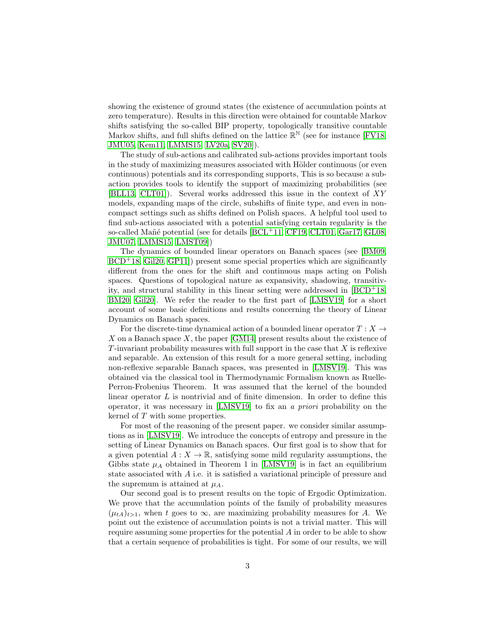showing the existence of ground states (the existence of accumulation points at zero temperature). Results in this direction were obtained for countable Markov shifts satisfying the so-called BIP property, topologically transitive countable Markov shifts, and full shifts defined on the lattice  $\mathbb{R}^{\mathbb{N}}$  (see for instance [\[FV18,](#page-30-5) [JMU05,](#page-31-8) [Kem11,](#page-31-9) [LMMS15,](#page-31-11) [LV20a,](#page-32-3) [SV20\]](#page-32-4)).

The study of sub-actions and calibrated sub-actions provides important tools in the study of maximizing measures associated with Hölder continuous (or even continuous) potentials and its corresponding supports, This is so because a subaction provides tools to identify the support of maximizing probabilities (see [\[BLL13,](#page-29-0) [CLT01\]](#page-30-4)). Several works addressed this issue in the context of XY models, expanding maps of the circle, subshifts of finite type, and even in noncompact settings such as shifts defined on Polish spaces. A helpful tool used to find sub-actions associated with a potential satisfying certain regularity is the so-called Mañé potential (see for details  $[BCL+11, CF19, CLT01, Gar17, GL08,$  $[BCL+11, CF19, CLT01, Gar17, GL08,$  $[BCL+11, CF19, CLT01, Gar17, GL08,$  $[BCL+11, CF19, CLT01, Gar17, GL08,$  $[BCL+11, CF19, CLT01, Gar17, GL08,$ [JMU07,](#page-31-7) [LMMS15,](#page-31-11) [LMST09\]](#page-32-5))

The dynamics of bounded linear operators on Banach spaces (see [\[BM09,](#page-29-1)  $BCD<sup>+</sup>18$  $BCD<sup>+</sup>18$ , [Gil20,](#page-31-13) GP11. present some special properties which are significantly different from the ones for the shift and continuous maps acting on Polish spaces. Questions of topological nature as expansivity, shadowing, transitivity, and structural stability in this linear setting were addressed in  $[BCD+18]$ , [BM20,](#page-30-2) [Gil20\]](#page-31-13). We refer the reader to the first part of [\[LMSV19\]](#page-32-1) for a short account of some basic definitions and results concerning the theory of Linear Dynamics on Banach spaces.

For the discrete-time dynamical action of a bounded linear operator  $T : X \to Y$ X on a Banach space  $X$ , the paper [\[GM14\]](#page-31-3) present results about the existence of  $T$ -invariant probability measures with full support in the case that  $X$  is reflexive and separable. An extension of this result for a more general setting, including non-reflexive separable Banach spaces, was presented in [\[LMSV19\]](#page-32-1). This was obtained via the classical tool in Thermodynamic Formalism known as Ruelle-Perron-Frobenius Theorem. It was assumed that the kernel of the bounded linear operator  $L$  is nontrivial and of finite dimension. In order to define this operator, it was necessary in [\[LMSV19\]](#page-32-1) to fix an *a priori* probability on the kernel of T with some properties.

For most of the reasoning of the present paper. we consider similar assumptions as in [\[LMSV19\]](#page-32-1). We introduce the concepts of entropy and pressure in the setting of Linear Dynamics on Banach spaces. Our first goal is to show that for a given potential  $A: X \to \mathbb{R}$ , satisfying some mild regularity assumptions, the Gibbs state  $\mu_A$  obtained in Theorem 1 in [\[LMSV19\]](#page-32-1) is in fact an equilibrium state associated with A i.e. it is satisfied a variational principle of pressure and the supremum is attained at  $\mu_A$ .

Our second goal is to present results on the topic of Ergodic Optimization. We prove that the accumulation points of the family of probability measures  $(\mu_{tA})_{t>1}$ , when t goes to  $\infty$ , are maximizing probability measures for A. We point out the existence of accumulation points is not a trivial matter. This will require assuming some properties for the potential A in order to be able to show that a certain sequence of probabilities is tight. For some of our results, we will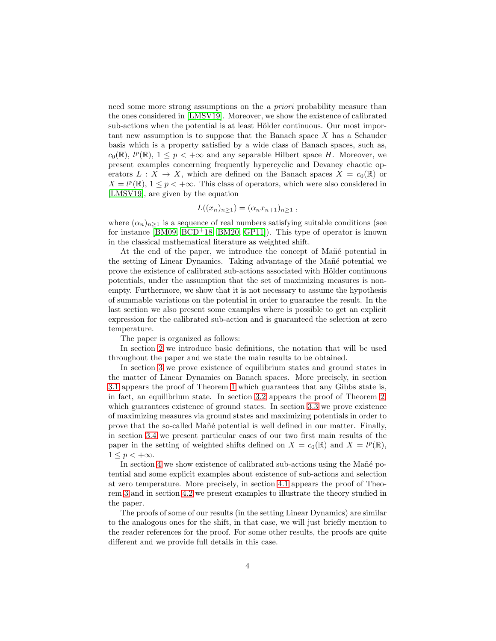need some more strong assumptions on the *a priori* probability measure than the ones considered in [\[LMSV19\]](#page-32-1). Moreover, we show the existence of calibrated sub-actions when the potential is at least Hölder continuous. Our most important new assumption is to suppose that the Banach space  $X$  has a Schauder basis which is a property satisfied by a wide class of Banach spaces, such as,  $c_0(\mathbb{R})$ ,  $l^p(\mathbb{R})$ ,  $1 \leq p < +\infty$  and any separable Hilbert space H. Moreover, we present examples concerning frequently hypercyclic and Devaney chaotic operators  $L : X \to X$ , which are defined on the Banach spaces  $X = c_0(\mathbb{R})$  or  $X = l^p(\mathbb{R}), 1 \leq p < +\infty$ . This class of operators, which were also considered in [\[LMSV19\]](#page-32-1), are given by the equation

$$
L((x_n)_{n\geq 1})=(\alpha_n x_{n+1})_{n\geq 1},
$$

where  $(\alpha_n)_{n>1}$  is a sequence of real numbers satisfying suitable conditions (see for instance  $[BM09, BCD<sup>+</sup>18, BM20, GP11]$  $[BM09, BCD<sup>+</sup>18, BM20, GP11]$  $[BM09, BCD<sup>+</sup>18, BM20, GP11]$  $[BM09, BCD<sup>+</sup>18, BM20, GP11]$  $[BM09, BCD<sup>+</sup>18, BM20, GP11]$ . This type of operator is known in the classical mathematical literature as weighted shift.

At the end of the paper, we introduce the concept of Mañé potential in the setting of Linear Dynamics. Taking advantage of the Mañé potential we prove the existence of calibrated sub-actions associated with Hölder continuous potentials, under the assumption that the set of maximizing measures is nonempty. Furthermore, we show that it is not necessary to assume the hypothesis of summable variations on the potential in order to guarantee the result. In the last section we also present some examples where is possible to get an explicit expression for the calibrated sub-action and is guaranteed the selection at zero temperature.

The paper is organized as follows:

In section [2](#page-4-0) we introduce basic definitions, the notation that will be used throughout the paper and we state the main results to be obtained.

In section [3](#page-12-0) we prove existence of equilibrium states and ground states in the matter of Linear Dynamics on Banach spaces. More precisely, in section [3.1](#page-12-1) appears the proof of Theorem [1](#page-8-0) which guarantees that any Gibbs state is, in fact, an equilibrium state. In section [3.2](#page-14-0) appears the proof of Theorem [2,](#page-10-0) which guarantees existence of ground states. In section [3.3](#page-20-0) we prove existence of maximizing measures via ground states and maximizing potentials in order to prove that the so-called Mañé potential is well defined in our matter. Finally, in section [3.4](#page-22-0) we present particular cases of our two first main results of the paper in the setting of weighted shifts defined on  $X = c_0(\mathbb{R})$  and  $X = l^p(\mathbb{R})$ ,  $1 \leq p < +\infty$ .

In section [4](#page-24-0) we show existence of calibrated sub-actions using the Man<sup> $\acute{e}$ </sup> potential and some explicit examples about existence of sub-actions and selection at zero temperature. More precisely, in section [4.1](#page-24-1) appears the proof of Theorem [3](#page-12-2) and in section [4.2](#page-26-0) we present examples to illustrate the theory studied in the paper.

The proofs of some of our results (in the setting Linear Dynamics) are similar to the analogous ones for the shift, in that case, we will just briefly mention to the reader references for the proof. For some other results, the proofs are quite different and we provide full details in this case.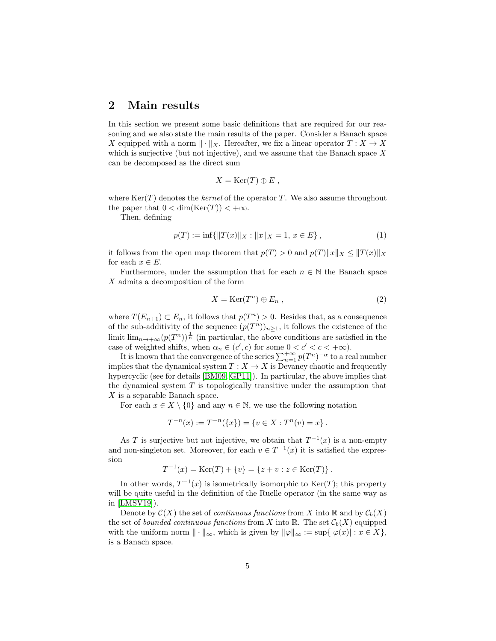## <span id="page-4-0"></span>2 Main results

In this section we present some basic definitions that are required for our reasoning and we also state the main results of the paper. Consider a Banach space X equipped with a norm  $\|\cdot\|_X$ . Hereafter, we fix a linear operator  $T : X \to X$ which is surjective (but not injective), and we assume that the Banach space  $X$ can be decomposed as the direct sum

$$
X = \text{Ker}(T) \oplus E ,
$$

where  $\text{Ker}(T)$  denotes the *kernel* of the operator T. We also assume throughout the paper that  $0 < \dim(\text{Ker}(T)) < +\infty$ .

Then, defining

<span id="page-4-2"></span>
$$
p(T) := \inf\{\|T(x)\|_X : \|x\|_X = 1, x \in E\},\tag{1}
$$

it follows from the open map theorem that  $p(T) > 0$  and  $p(T) \|x\|_X \leq \|T(x)\|_X$ for each  $x \in E$ .

Furthermore, under the assumption that for each  $n \in \mathbb{N}$  the Banach space X admits a decomposition of the form

<span id="page-4-1"></span>
$$
X = \text{Ker}(T^n) \oplus E_n , \qquad (2)
$$

where  $T(E_{n+1}) \subset E_n$ , it follows that  $p(T^n) > 0$ . Besides that, as a consequence of the sub-additivity of the sequence  $(p(T^n))_{n\geq 1}$ , it follows the existence of the limit  $\lim_{n\to+\infty}(p(T^n))^{\frac{1}{n}}$  (in particular, the above conditions are satisfied in the case of weighted shifts, when  $\alpha_n \in (c', c)$  for some  $0 < c' < c < +\infty$ ).

It is known that the convergence of the series  $\sum_{n=1}^{+\infty} p(T^n)^{-\alpha}$  to a real number implies that the dynamical system  $T : X \to X$  is Devaney chaotic and frequently hypercyclic (see for details [\[BM09,](#page-29-1) [GP11\]](#page-31-4)). In particular, the above implies that the dynamical system  $T$  is topologically transitive under the assumption that X is a separable Banach space.

For each  $x \in X \setminus \{0\}$  and any  $n \in \mathbb{N}$ , we use the following notation

$$
T^{-n}(x) := T^{-n}(\{x\}) = \{v \in X : T^n(v) = x\}.
$$

As T is surjective but not injective, we obtain that  $T^{-1}(x)$  is a non-empty and non-singleton set. Moreover, for each  $v \in T^{-1}(x)$  it is satisfied the expression

$$
T^{-1}(x) = \text{Ker}(T) + \{v\} = \{z + v : z \in \text{Ker}(T)\}.
$$

In other words,  $T^{-1}(x)$  is isometrically isomorphic to  $\text{Ker}(T)$ ; this property will be quite useful in the definition of the Ruelle operator (in the same way as in [\[LMSV19\]](#page-32-1)).

Denote by  $\mathcal{C}(X)$  the set of *continuous functions* from X into R and by  $\mathcal{C}_b(X)$ the set of *bounded continuous functions* from X into R. The set  $\mathcal{C}_b(X)$  equipped with the uniform norm  $\|\cdot\|_{\infty}$ , which is given by  $\|\varphi\|_{\infty} := \sup\{|\varphi(x)| : x \in X\},\$ is a Banach space.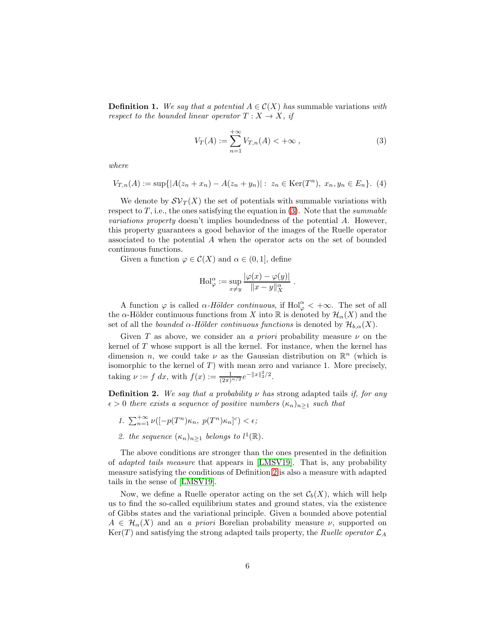**Definition 1.** We say that a potential  $A \in \mathcal{C}(X)$  has summable variations with *respect to the bounded linear operator*  $T: X \to X$ *, if* 

<span id="page-5-0"></span>
$$
V_T(A) := \sum_{n=1}^{+\infty} V_{T,n}(A) < +\infty ,
$$
 (3)

*where*

<span id="page-5-2"></span>
$$
V_{T,n}(A) := \sup\{|A(z_n + x_n) - A(z_n + y_n)| : z_n \in \text{Ker}(T^n), x_n, y_n \in E_n\}. (4)
$$

We denote by  $\mathcal{SV}_T(X)$  the set of potentials with summable variations with respect to  $T$ , i.e., the ones satisfying the equation in  $(3)$ . Note that the *summable variations property* doesn't implies boundedness of the potential A. However, this property guarantees a good behavior of the images of the Ruelle operator associated to the potential A when the operator acts on the set of bounded continuous functions.

Given a function  $\varphi \in \mathcal{C}(X)$  and  $\alpha \in (0,1]$ , define

$$
\mathrm{Hol}_{\varphi}^{\alpha} := \sup_{x \neq y} \frac{|\varphi(x) - \varphi(y)|}{\|x - y\|_X^{\alpha}}.
$$

A function  $\varphi$  is called  $\alpha$ -Hölder continuous, if  $\text{Hol}_{\varphi}^{\alpha} < +\infty$ . The set of all the  $\alpha$ -Hölder continuous functions from X into R is denoted by  $\mathcal{H}_{\alpha}(X)$  and the set of all the *bounded*  $\alpha$ -Hölder continuous functions is denoted by  $\mathcal{H}_{b,\alpha}(X)$ .

Given T as above, we consider an *a priori* probability measure  $\nu$  on the kernel of T whose support is all the kernel. For instance, when the kernel has dimension *n*, we could take  $\nu$  as the Gaussian distribution on  $\mathbb{R}^n$  (which is isomorphic to the kernel of  $T$ ) with mean zero and variance 1. More precisely, taking  $\nu := f \, dx$ , with  $f(x) := \frac{1}{(2\pi)^{n/2}} e^{-\|x\|_2^2/2}$ .

<span id="page-5-1"></span>Definition 2. *We say that a probability* ν *has* strong adapted tails *if, for any*  $\epsilon > 0$  *there exists a sequence of positive numbers*  $(\kappa_n)_{n>1}$  *such that* 

- 1.  $\sum_{n=1}^{+\infty} \nu([-p(T^n)\kappa_n, p(T^n)\kappa_n]^c) < \epsilon;$
- 2. the sequence  $(\kappa_n)_{n\geq 1}$  belongs to  $l^1(\mathbb{R})$ .

The above conditions are stronger than the ones presented in the definition of *adapted tails measure* that appears in [\[LMSV19\]](#page-32-1). That is, any probability measure satisfying the conditions of Definition [2](#page-5-1) is also a measure with adapted tails in the sense of [\[LMSV19\]](#page-32-1).

Now, we define a Ruelle operator acting on the set  $\mathcal{C}_b(X)$ , which will help us to find the so-called equilibrium states and ground states, via the existence of Gibbs states and the variational principle. Given a bounded above potential  $A \in \mathcal{H}_{\alpha}(X)$  and an *a priori* Borelian probability measure  $\nu$ , supported on  $Ker(T)$  and satisfying the strong adapted tails property, the *Ruelle operator*  $\mathcal{L}_A$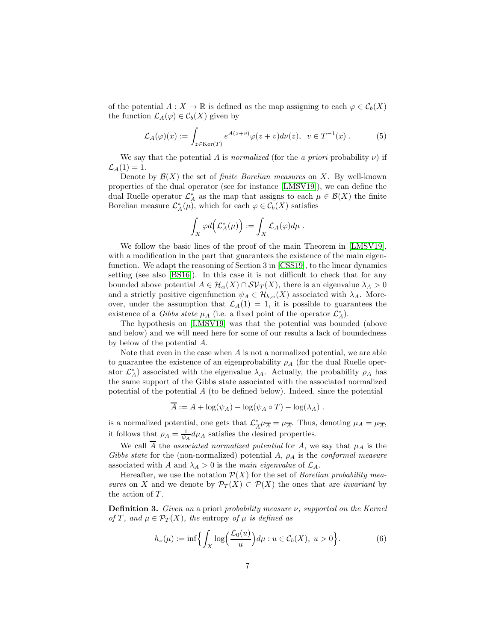of the potential  $A: X \to \mathbb{R}$  is defined as the map assigning to each  $\varphi \in C_b(X)$ the function  $\mathcal{L}_A(\varphi) \in \mathcal{C}_b(X)$  given by

<span id="page-6-1"></span>
$$
\mathcal{L}_A(\varphi)(x) := \int_{z \in \text{Ker}(T)} e^{A(z+v)} \varphi(z+v) d\nu(z), \ \ v \in T^{-1}(x) \ . \tag{5}
$$

We say that the potential A is *normalized* (for the *a priori* probability  $\nu$ ) if  $\mathcal{L}_A(1)=1.$ 

Denote by  $\mathcal{B}(X)$  the set of *finite Borelian measures* on X. By well-known properties of the dual operator (see for instance [\[LMSV19\]](#page-32-1)), we can define the dual Ruelle operator  $\mathcal{L}_A^*$  as the map that assigns to each  $\mu \in \mathcal{B}(X)$  the finite Borelian measure  $\mathcal{L}_A^*(\mu)$ , which for each  $\varphi \in \mathcal{C}_b(X)$  satisfies

$$
\int_X \varphi d\Bigl(\mathcal{L}^*_A(\mu)\Bigr):=\int_X \mathcal{L}_A(\varphi) d\mu\;.
$$

We follow the basic lines of the proof of the main Theorem in [\[LMSV19\]](#page-32-1), with a modification in the part that guarantees the existence of the main eigenfunction. We adapt the reasoning of Section 3 in [\[CSS19\]](#page-30-10), to the linear dynamics setting (see also [\[BS16\]](#page-30-11)). In this case it is not difficult to check that for any bounded above potential  $A \in \mathcal{H}_{\alpha}(X) \cap \mathcal{SV}_T(X)$ , there is an eigenvalue  $\lambda_A > 0$ and a strictly positive eigenfunction  $\psi_A \in \mathcal{H}_{b,\alpha}(X)$  associated with  $\lambda_A$ . Moreover, under the assumption that  $\mathcal{L}_A(1) = 1$ , it is possible to guarantees the existence of a *Gibbs state*  $\mu_A$  (i.e. a fixed point of the operator  $\mathcal{L}_A^*$ ).

The hypothesis on [\[LMSV19\]](#page-32-1) was that the potential was bounded (above and below) and we will need here for some of our results a lack of boundedness by below of the potential A.

Note that even in the case when  $A$  is not a normalized potential, we are able to guarantee the existence of an eigenprobability  $\rho_A$  (for the dual Ruelle operator  $\mathcal{L}_A^*$ ) associated with the eigenvalue  $\lambda_A$ . Actually, the probability  $\rho_A$  has the same support of the Gibbs state associated with the associated normalized potential of the potential  $A$  (to be defined below). Indeed, since the potential

$$
\overline{A} := A + \log(\psi_A) - \log(\psi_A \circ T) - \log(\lambda_A) .
$$

is a normalized potential, one gets that  $\mathcal{L}^*$  $\frac{\partial^*}{\partial A}\mu_{\overline{A}} = \mu_{\overline{A}}$ . Thus, denoting  $\mu_A = \mu_{\overline{A}}$ , it follows that  $\rho_A = \frac{1}{\psi_A} d\mu_A$  satisfies the desired properties.

We call A the *associated normalized potential* for A, we say that  $\mu_A$  is the *Gibbs state* for the (non-normalized) potential A, ρ<sup>A</sup> is the *conformal measure* associated with A and  $\lambda_A > 0$  is the *main eigenvalue* of  $\mathcal{L}_A$ .

Hereafter, we use the notation  $\mathcal{P}(X)$  for the set of *Borelian probability measures* on X and we denote by  $\mathcal{P}_T(X) \subset \mathcal{P}(X)$  the ones that are *invariant* by the action of  $T$ .

Definition 3. *Given an* a priori *probability measure* ν*, supported on the Kernel of* T, and  $\mu \in \mathcal{P}_T(X)$ , the entropy of  $\mu$  *is defined as* 

<span id="page-6-0"></span>
$$
h_{\nu}(\mu) := \inf \Biggl\{ \int_X \log \Bigl( \frac{\mathcal{L}_0(u)}{u} \Bigr) d\mu : u \in \mathcal{C}_b(X), \ u > 0 \Biggr\}.
$$
 (6)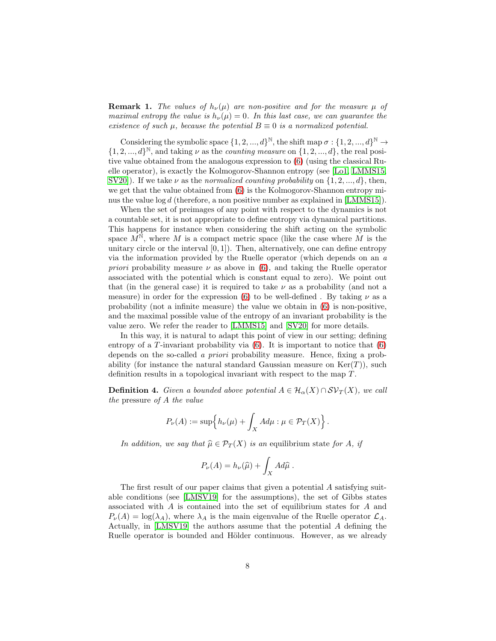**Remark 1.** *The values of*  $h_{\nu}(\mu)$  *are non-positive and for the measure*  $\mu$  *of maximal entropy the value is*  $h_{\nu}(\mu) = 0$ *. In this last case, we can guarantee the existence of such*  $\mu$ *, because the potential*  $B \equiv 0$  *is a normalized potential.* 

Considering the symbolic space  $\{1, 2, ..., d\}^{\mathbb{N}}$ , the shift map  $\sigma : \{1, 2, ..., d\}^{\mathbb{N}} \to$  $\{1, 2, ..., d\}^{\mathbb{N}},$  and taking  $\nu$  as the *counting measure* on  $\{1, 2, ..., d\},$  the real positive value obtained from the analogous expression to [\(6\)](#page-6-0) (using the classical Ruelle operator), is exactly the Kolmogorov-Shannon entropy (see [\[Lo1,](#page-31-14) [LMMS15,](#page-31-11) [SV20\]](#page-32-4)). If we take  $\nu$  as the *normalized counting probability* on  $\{1, 2, ..., d\}$ , then, we get that the value obtained from [\(6\)](#page-6-0) is the Kolmogorov-Shannon entropy mi-nus the value log d (therefore, a non positive number as explained in [\[LMMS15\]](#page-31-11)).

When the set of preimages of any point with respect to the dynamics is not a countable set, it is not appropriate to define entropy via dynamical partitions. This happens for instance when considering the shift acting on the symbolic space  $M^{\mathbb{N}}$ , where M is a compact metric space (like the case where M is the unitary circle or the interval  $[0, 1]$ . Then, alternatively, one can define entropy via the information provided by the Ruelle operator (which depends on an *a priori* probability measure  $\nu$  as above in [\(6\)](#page-6-0), and taking the Ruelle operator associated with the potential which is constant equal to zero). We point out that (in the general case) it is required to take  $\nu$  as a probability (and not a measure) in order for the expression [\(6\)](#page-6-0) to be well-defined. By taking  $\nu$  as a probability (not a infinite measure) the value we obtain in [\(6\)](#page-6-0) is non-positive, and the maximal possible value of the entropy of an invariant probability is the value zero. We refer the reader to [\[LMMS15\]](#page-31-11) and [\[SV20\]](#page-32-4) for more details.

In this way, it is natural to adapt this point of view in our setting; defining entropy of a T-invariant probability via  $(6)$ . It is important to notice that  $(6)$ depends on the so-called *a priori* probability measure. Hence, fixing a probability (for instance the natural standard Gaussian measure on  $\text{Ker}(T)$ ), such definition results in a topological invariant with respect to the map T.

**Definition 4.** *Given a bounded above potential*  $A \in \mathcal{H}_\alpha(X) \cap \mathcal{SV}_T(X)$ *, we call the* pressure *of* A *the value*

$$
P_{\nu}(A) := \sup \Big\{ h_{\nu}(\mu) + \int_X A d\mu : \mu \in \mathcal{P}_T(X) \Big\}.
$$

*In addition, we say that*  $\hat{\mu} \in \mathcal{P}_T(X)$  *is an equilibrium state for* A, *if* 

$$
P_{\nu}(A) = h_{\nu}(\widehat{\mu}) + \int_X Ad\widehat{\mu} .
$$

The first result of our paper claims that given a potential A satisfying suitable conditions (see [\[LMSV19\]](#page-32-1) for the assumptions), the set of Gibbs states associated with A is contained into the set of equilibrium states for A and  $P_{\nu}(A) = \log(\lambda_A)$ , where  $\lambda_A$  is the main eigenvalue of the Ruelle operator  $\mathcal{L}_A$ . Actually, in [\[LMSV19\]](#page-32-1) the authors assume that the potential A defining the Ruelle operator is bounded and Hölder continuous. However, as we already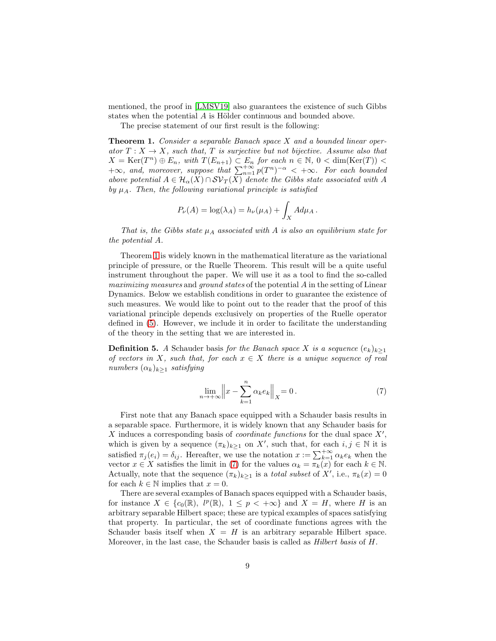mentioned, the proof in [\[LMSV19\]](#page-32-1) also guarantees the existence of such Gibbs states when the potential  $A$  is Hölder continuous and bounded above.

The precise statement of our first result is the following:

<span id="page-8-0"></span>Theorem 1. *Consider a separable Banach space* X *and a bounded linear oper* $ator T : X \rightarrow X$ , such that, T is surjective but not bijective. Assume also that  $X = \text{Ker}(T^n) \oplus E_n$ , with  $T(E_{n+1}) \subset E_n$  for each  $n \in \mathbb{N}$ ,  $0 < \dim(\text{Ker}(T)) <$  $+\infty$ *, and, moreover, suppose that*  $\sum_{n=1}^{+\infty} p(T^n)^{-\alpha} < +\infty$ *. For each bounded* above potential  $A \in \mathcal{H}_\alpha(X) \cap \mathcal{SV}_T(X)$  denote the Gibbs state associated with A by  $\mu_A$ . Then, the following variational principle is satisfied

$$
P_{\nu}(A) = \log(\lambda_A) = h_{\nu}(\mu_A) + \int_X A d\mu_A.
$$

*That is, the Gibbs state*  $\mu_A$  *associated with* A *is also an equilibrium state for the potential* A*.*

Theorem [1](#page-8-0) is widely known in the mathematical literature as the variational principle of pressure, or the Ruelle Theorem. This result will be a quite useful instrument throughout the paper. We will use it as a tool to find the so-called *maximizing measures* and *ground states* of the potential A in the setting of Linear Dynamics. Below we establish conditions in order to guarantee the existence of such measures. We would like to point out to the reader that the proof of this variational principle depends exclusively on properties of the Ruelle operator defined in [\(5\)](#page-6-1). However, we include it in order to facilitate the understanding of the theory in the setting that we are interested in.

**Definition 5.** *A* Schauder basis *for the Banach space* X *is a sequence*  $(e_k)_{k\geq 1}$ *of vectors in* X*, such that, for each* x ∈ X *there is a unique sequence of real numbers*  $(\alpha_k)_{k>1}$  *satisfying* 

<span id="page-8-1"></span>
$$
\lim_{n \to +\infty} \left\| x - \sum_{k=1}^{n} \alpha_k e_k \right\|_X = 0. \tag{7}
$$

First note that any Banach space equipped with a Schauder basis results in a separable space. Furthermore, it is widely known that any Schauder basis for X induces a corresponding basis of *coordinate functions* for the dual space X′ , which is given by a sequence  $(\pi_k)_{k\geq 1}$  on X', such that, for each  $i, j \in \mathbb{N}$  it is satisfied  $\pi_j(e_i) = \delta_{ij}$ . Hereafter, we use the notation  $x := \sum_{k=1}^{+\infty} \alpha_k e_k$  when the vector  $x \in X$  satisfies the limit in [\(7\)](#page-8-1) for the values  $\alpha_k = \pi_k(x)$  for each  $k \in \mathbb{N}$ . Actually, note that the sequence  $(\pi_k)_{k\geq 1}$  is a *total subset* of X', i.e.,  $\pi_k(x) = 0$ for each  $k \in \mathbb{N}$  implies that  $x = 0$ .

There are several examples of Banach spaces equipped with a Schauder basis, for instance  $X \in \{c_0(\mathbb{R}), l^p(\mathbb{R}), 1 \leq p < +\infty\}$  and  $X = H$ , where H is an arbitrary separable Hilbert space; these are typical examples of spaces satisfying that property. In particular, the set of coordinate functions agrees with the Schauder basis itself when  $X = H$  is an arbitrary separable Hilbert space. Moreover, in the last case, the Schauder basis is called as *Hilbert basis* of H.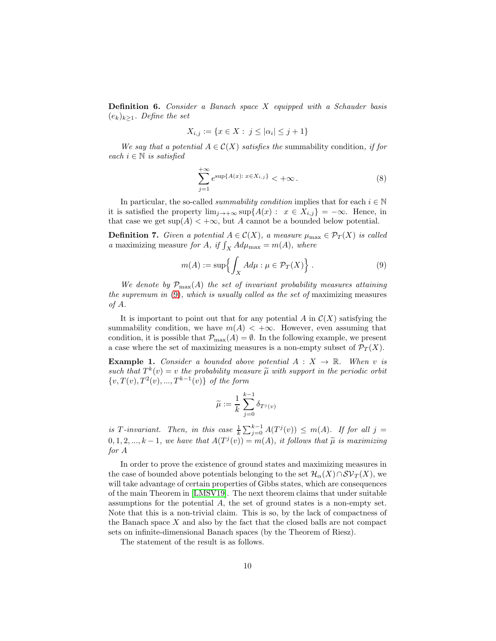<span id="page-9-1"></span>Definition 6. *Consider a Banach space* X *equipped with a Schauder basis* (ek)k≥<sup>1</sup>*. Define the set*

$$
X_{i,j} := \{ x \in X : j \le |\alpha_i| \le j+1 \}
$$

*We say that a potential*  $A \in \mathcal{C}(X)$  *satisfies the* summability condition, *if for*  $each i \in \mathbb{N}$  *is satisfied* 

<span id="page-9-2"></span>
$$
\sum_{j=1}^{+\infty} e^{\sup\{A(x): x \in X_{i,j}\}} < +\infty. \tag{8}
$$

In particular, the so-called *summability condition* implies that for each  $i \in \mathbb{N}$ it is satisfied the property  $\lim_{j\to+\infty} \sup\{A(x): x \in X_{i,j}\} = -\infty$ . Hence, in that case we get  $\sup(A) < +\infty$ , but A cannot be a bounded below potential.

**Definition 7.** *Given a potential*  $A \in \mathcal{C}(X)$ *, a measure*  $\mu_{\max} \in \mathcal{P}_T(X)$  *is called a* maximizing measure *for A*, *if*  $\int_X A d\mu_{\text{max}} = m(A)$ , where

<span id="page-9-0"></span>
$$
m(A) := \sup \left\{ \int_X A d\mu : \mu \in \mathcal{P}_T(X) \right\}.
$$
 (9)

We denote by  $\mathcal{P}_{\max}(A)$  the set of invariant probability measures attaining *the supremum in* [\(9\)](#page-9-0)*, which is usually called as the set of* maximizing measures *of* A*.*

It is important to point out that for any potential A in  $\mathcal{C}(X)$  satisfying the summability condition, we have  $m(A) < +\infty$ . However, even assuming that condition, it is possible that  $\mathcal{P}_{\max}(A) = \emptyset$ . In the following example, we present a case where the set of maximizing measures is a non-empty subset of  $\mathcal{P}_T(X)$ .

**Example 1.** *Consider a bounded above potential*  $A: X \rightarrow \mathbb{R}$ *. When v is* such that  $T^k(v) = v$  the probability measure  $\tilde{\mu}$  with support in the periodic orbit  $\{v, T(v), T^2(v), ..., T^{k-1}(v)\}\;$  of the form

$$
\widetilde{\mu} := \frac{1}{k} \sum_{j=0}^{k-1} \delta_{T^j(v)}
$$

is T-invariant. Then, in this case  $\frac{1}{k} \sum_{j=0}^{k-1} A(T^j(v)) \leq m(A)$ . If for all  $j =$  $(0, 1, 2, ..., k-1,$  we have that  $A(T^j(v)) = m(A)$ , it follows that  $\widetilde{\mu}$  is maximizing *for* A

In order to prove the existence of ground states and maximizing measures in the case of bounded above potentials belonging to the set  $\mathcal{H}_{\alpha}(X)\cap \mathcal{SV}_T(X)$ , we will take advantage of certain properties of Gibbs states, which are consequences of the main Theorem in [\[LMSV19\]](#page-32-1). The next theorem claims that under suitable assumptions for the potential A, the set of ground states is a non-empty set. Note that this is a non-trivial claim. This is so, by the lack of compactness of the Banach space  $X$  and also by the fact that the closed balls are not compact sets on infinite-dimensional Banach spaces (by the Theorem of Riesz).

The statement of the result is as follows.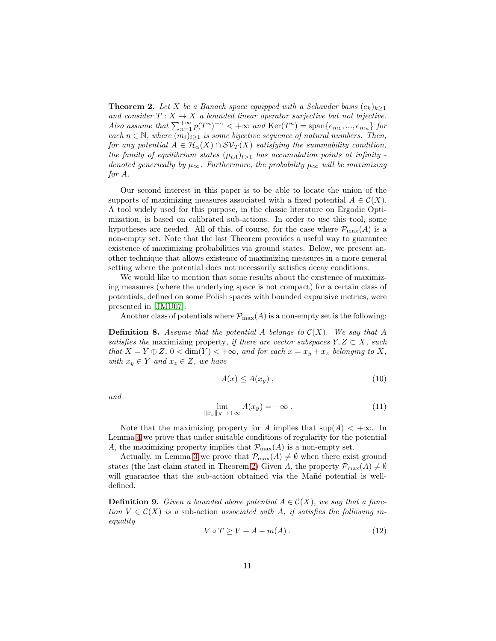<span id="page-10-0"></span>**Theorem 2.** Let X be a Banach space equipped with a Schauder basis  $(e_k)_{k\geq 1}$ *and consider*  $T : X \to X$  *a bounded linear operator surjective but not bijective. Also assume that*  $\sum_{n=1}^{+\infty} p(T^n)^{-\alpha} < +\infty$  *and*  $\text{Ker}(T^n) = \text{span}\{e_{m_1},...,e_{m_n}\}\$  for *each*  $n \in \mathbb{N}$ , where  $(m_i)_{i>1}$  *is some bijective sequence of natural numbers. Then, for any potential*  $A \in \mathcal{H}_\alpha(X) \cap SV_T(X)$  *satisfying the summability condition, the family of equilibrium states*  $(\mu_{tA})_{t>1}$  *has accumulation points at infinity denoted generically by*  $\mu_{\infty}$ *. Furthermore, the probability*  $\mu_{\infty}$  *will be maximizing for* A*.*

Our second interest in this paper is to be able to locate the union of the supports of maximizing measures associated with a fixed potential  $A \in \mathcal{C}(X)$ . A tool widely used for this purpose, in the classic literature on Ergodic Optimization, is based on calibrated sub-actions. In order to use this tool, some hypotheses are needed. All of this, of course, for the case where  $\mathcal{P}_{\max}(A)$  is a non-empty set. Note that the last Theorem provides a useful way to guarantee existence of maximizing probabilities via ground states. Below, we present another technique that allows existence of maximizing measures in a more general setting where the potential does not necessarily satisfies decay conditions.

We would like to mention that some results about the existence of maximizing measures (where the underlying space is not compact) for a certain class of potentials, defined on some Polish spaces with bounded expansive metrics, were presented in [\[JMU07\]](#page-31-7).

Another class of potentials where  $\mathcal{P}_{\max}(A)$  is a non-empty set is the following:

<span id="page-10-2"></span>**Definition 8.** Assume that the potential A belongs to  $C(X)$ . We say that A *satisfies the* maximizing property, *if there are vector subspaces*  $Y, Z \subset X$ *, such that*  $X = Y \oplus Z$ ,  $0 < \dim(Y) < +\infty$ *, and for each*  $x = x_y + x_z$  *belonging to* X, *with*  $x_y \in Y$  *and*  $x_z \in Z$ *, we have* 

<span id="page-10-3"></span>
$$
A(x) \le A(x_y) \tag{10}
$$

*and*

<span id="page-10-4"></span>
$$
\lim_{\|x_y\| \times \to +\infty} A(x_y) = -\infty \tag{11}
$$

Note that the maximizing property for A implies that  $\sup(A) < +\infty$ . In Lemma [4](#page-21-0) we prove that under suitable conditions of regularity for the potential A, the maximizing property implies that  $\mathcal{P}_{\max}(A)$  is a non-empty set.

Actually, in Lemma [3](#page-20-1) we prove that  $\mathcal{P}_{\max}(A) \neq \emptyset$  when there exist ground states (the last claim stated in Theorem [2\)](#page-10-0) Given A, the property  $\mathcal{P}_{\max}(A) \neq \emptyset$ will guarantee that the sub-action obtained via the Mañé potential is welldefined.

**Definition 9.** *Given a bounded above potential*  $A \in \mathcal{C}(X)$ *, we say that a function*  $V \in \mathcal{C}(X)$  *is a* sub-action *associated with* A, *if satisfies the following inequality*

<span id="page-10-1"></span>
$$
V \circ T \ge V + A - m(A) \tag{12}
$$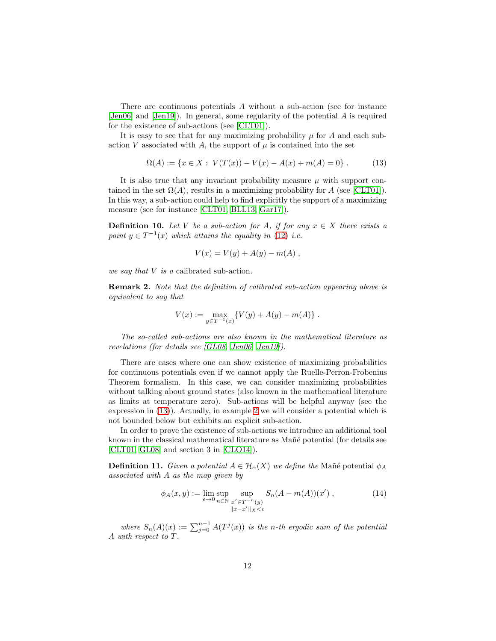There are continuous potentials A without a sub-action (see for instance [\[Jen06\]](#page-31-0) and [\[Jen19\]](#page-31-1)). In general, some regularity of the potential A is required for the existence of sub-actions (see [\[CLT01\]](#page-30-4)).

It is easy to see that for any maximizing probability  $\mu$  for  $A$  and each subaction V associated with A, the support of  $\mu$  is contained into the set

<span id="page-11-0"></span>
$$
\Omega(A) := \{ x \in X : V(T(x)) - V(x) - A(x) + m(A) = 0 \}.
$$
 (13)

It is also true that any invariant probability measure  $\mu$  with support contained in the set  $\Omega(A)$ , results in a maximizing probability for A (see [\[CLT01\]](#page-30-4)). In this way, a sub-action could help to find explicitly the support of a maximizing measure (see for instance [\[CLT01,](#page-30-4) [BLL13,](#page-29-0) [Gar17\]](#page-30-0)).

**Definition 10.** Let V be a sub-action for A, if for any  $x \in X$  there exists a point  $y \in T^{-1}(x)$  *which attains the equality in* [\(12\)](#page-10-1) *i.e.* 

$$
V(x) = V(y) + A(y) - m(A) ,
$$

*we say that* V *is a* calibrated sub-action*.*

Remark 2. *Note that the definition of calibrated sub-action appearing above is equivalent to say that*

$$
V(x) := \max_{y \in T^{-1}(x)} \{ V(y) + A(y) - m(A) \} .
$$

*The so-called sub-actions are also known in the mathematical literature as revelations (for details see [\[GL08,](#page-31-12) [Jen06,](#page-31-0) [Jen19\]](#page-31-1)).*

There are cases where one can show existence of maximizing probabilities for continuous potentials even if we cannot apply the Ruelle-Perron-Frobenius Theorem formalism. In this case, we can consider maximizing probabilities without talking about ground states (also known in the mathematical literature as limits at temperature zero). Sub-actions will be helpful anyway (see the expression in [\(13\)](#page-11-0)). Actually, in example [2](#page-27-0) we will consider a potential which is not bounded below but exhibits an explicit sub-action.

In order to prove the existence of sub-actions we introduce an additional tool known in the classical mathematical literature as Mañé potential (for details see [\[CLT01,](#page-30-4) [GL08\]](#page-31-12) and section 3 in [\[CLO14\]](#page-30-12)).

**Definition 11.** *Given a potential*  $A \in \mathcal{H}_\alpha(X)$  *we define the* Manegree potential  $\phi_A$ *associated with* A *as the map given by*

<span id="page-11-1"></span>
$$
\phi_A(x, y) := \lim_{\epsilon \to 0} \sup_{n \in \mathbb{N}} \sup_{\substack{x' \in T^{-n}(y) \\ \|x - x'\|_X < \epsilon}} S_n(A - m(A))(x') \,, \tag{14}
$$

*where*  $S_n(A)(x) := \sum_{j=0}^{n-1} A(T^j(x))$  *is the n-th ergodic sum of the potential* A *with respect to* T *.*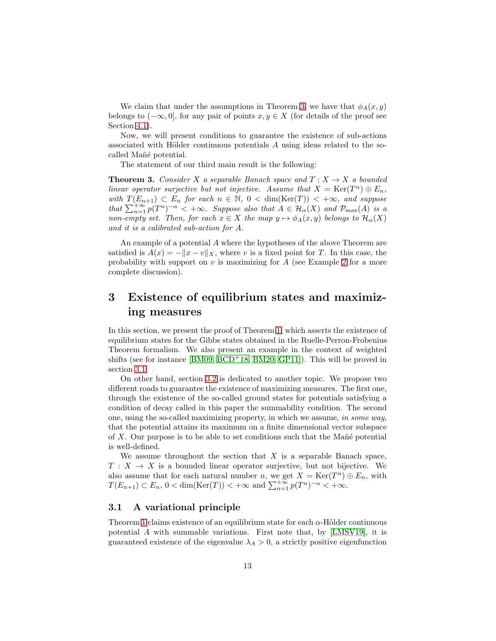We claim that under the assumptions in Theorem [3,](#page-12-2) we have that  $\phi_A(x, y)$ belongs to  $(-\infty, 0]$ , for any pair of points  $x, y \in X$  (for details of the proof see Section [4.1\)](#page-24-1).

Now, we will present conditions to guarantee the existence of sub-actions associated with Hölder continuous potentials  $A$  using ideas related to the socalled Mañé potential.

The statement of our third main result is the following:

<span id="page-12-2"></span>**Theorem 3.** *Consider* X *a separable Banach space and*  $T: X \rightarrow X$  *a bounded linear operator surjective but not injective. Assume that*  $X = \text{Ker}(T^n) \oplus E_n$ , *with*  $T(E_{n+1}) \subset E_n$  *for each*  $n \in \mathbb{N}$ ,  $0 < \dim(\text{Ker}(T)) < +\infty$ *, and suppose that*  $\sum_{n=1}^{+\infty} p(T^n)^{-\alpha} < +\infty$ *. Suppose also that*  $A \in \mathcal{H}_\alpha(X)$  *and*  $\mathcal{P}_{\max}(A)$  *is a non-empty set. Then, for each*  $x \in X$  *the map*  $y \mapsto \phi_A(x, y)$  *belongs to*  $\mathcal{H}_\alpha(X)$ *and it is a calibrated sub-action for* A*.*

An example of a potential A where the hypotheses of the above Theorem are satisfied is  $A(x) = -||x - v||_X$ , where v is a fixed point for T. In this case, the probability with support on  $v$  is maximizing for  $A$  (see Example [2](#page-27-0) for a more complete discussion).

## <span id="page-12-0"></span>3 Existence of equilibrium states and maximizing measures

In this section, we present the proof of Theorem [1,](#page-8-0) which asserts the existence of equilibrium states for the Gibbs states obtained in the Ruelle-Perron-Frobenius Theorem formalism. We also present an example in the context of weighted shifts (see for instance [\[BM09,](#page-29-1) [BCD](#page-30-1)<sup>+</sup>18, [BM20,](#page-30-2) [GP11\]](#page-31-4)). This will be proved in section [3.1.](#page-12-1)

On other hand, section [3.2](#page-14-0) is dedicated to another topic. We propose two different roads to guarantee the existence of maximizing measures. The first one, through the existence of the so-called ground states for potentials satisfying a condition of decay called in this paper the summability condition. The second one, using the so-called maximizing property, in which we assume, *in some way*, that the potential attains its maximum on a finite dimensional vector subspace of  $X$ . Our purpose is to be able to set conditions such that the Man<sup>e</sup> potential is well-defined.

We assume throughout the section that  $X$  is a separable Banach space,  $T: X \to X$  is a bounded linear operator surjective, but not bijective. We also assume that for each natural number n, we get  $X = \text{Ker}(T^n) \oplus E_n$ , with  $T(E_{n+1}) \subset E_n$ ,  $0 < \dim(\text{Ker}(T)) < +\infty$  and  $\sum_{n=1}^{+\infty} p(T^n)^{-\alpha} < +\infty$ .

#### <span id="page-12-1"></span>3.1 A variational principle

Theorem [1](#page-8-0) claims existence of an equilibrium state for each  $\alpha$ -Hölder continuous potential A with summable variations. First note that, by [\[LMSV19\]](#page-32-1), it is guaranteed existence of the eigenvalue  $\lambda_A > 0$ , a strictly positive eigenfunction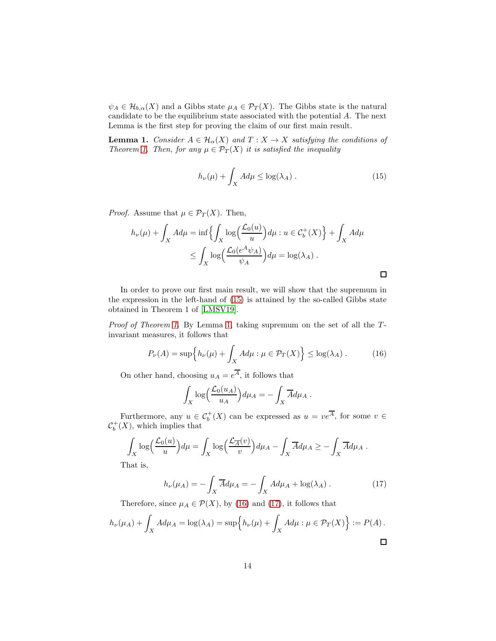$\psi_A \in \mathcal{H}_{b,\alpha}(X)$  and a Gibbs state  $\mu_A \in \mathcal{P}_T(X)$ . The Gibbs state is the natural candidate to be the equilibrium state associated with the potential A. The next Lemma is the first step for proving the claim of our first main result.

<span id="page-13-1"></span>**Lemma 1.** *Consider*  $A \in \mathcal{H}_\alpha(X)$  *and*  $T : X \to X$  *satisfying the conditions of Theorem [1.](#page-8-0) Then, for any*  $\mu \in \mathcal{P}_T(X)$  *it is satisfied the inequality* 

<span id="page-13-0"></span>
$$
h_{\nu}(\mu) + \int_X A d\mu \le \log(\lambda_A). \tag{15}
$$

*Proof.* Assume that  $\mu \in \mathcal{P}_T(X)$ . Then,

$$
h_{\nu}(\mu) + \int_{X} A d\mu = \inf \left\{ \int_{X} \log \left( \frac{\mathcal{L}_{0}(u)}{u} \right) d\mu : u \in C_{b}^{+}(X) \right\} + \int_{X} A d\mu
$$
  

$$
\leq \int_{X} \log \left( \frac{\mathcal{L}_{0}(e^{A} \psi_{A})}{\psi_{A}} \right) d\mu = \log(\lambda_{A}).
$$

In order to prove our first main result, we will show that the supremum in the expression in the left-hand of [\(15\)](#page-13-0) is attained by the so-called Gibbs state obtained in Theorem 1 of [\[LMSV19\]](#page-32-1).

*Proof of Theorem [1.](#page-8-0)* By Lemma [1,](#page-13-1) taking supremum on the set of all the Tinvariant measures, it follows that

<span id="page-13-2"></span>
$$
P_{\nu}(A) = \sup \Big\{ h_{\nu}(\mu) + \int_X A d\mu : \mu \in \mathcal{P}_T(X) \Big\} \le \log(\lambda_A). \tag{16}
$$

On other hand, choosing  $u_A = e^A$ , it follows that

$$
\int_X \log\Bigl(\frac{\mathcal{L}_0(u_A)}{u_A}\Bigr)d\mu_A = -\int_X \overline{A}d\mu_A.
$$

Furthermore, any  $u \in C_b^+(X)$  can be expressed as  $u = v e^{\overline{A}}$ , for some  $v \in$  $\mathcal{C}_b^+(X)$ , which implies that

$$
\int_X \log\left(\frac{\mathcal{L}_0(u)}{u}\right) d\mu = \int_X \log\left(\frac{\mathcal{L}_{\overline{A}}(v)}{v}\right) d\mu_A - \int_X \overline{A} d\mu_A \ge -\int_X \overline{A} d\mu_A.
$$

That is,

<span id="page-13-3"></span>
$$
h_{\nu}(\mu_A) = -\int_X \overline{A} d\mu_A = -\int_X A d\mu_A + \log(\lambda_A) . \tag{17}
$$

Therefore, since  $\mu_A \in \mathcal{P}(X)$ , by [\(16\)](#page-13-2) and [\(17\)](#page-13-3), it follows that

$$
h_{\nu}(\mu_A) + \int_X A d\mu_A = \log(\lambda_A) = \sup \Big\{ h_{\nu}(\mu) + \int_X A d\mu : \mu \in \mathcal{P}_T(X) \Big\} := P(A) .
$$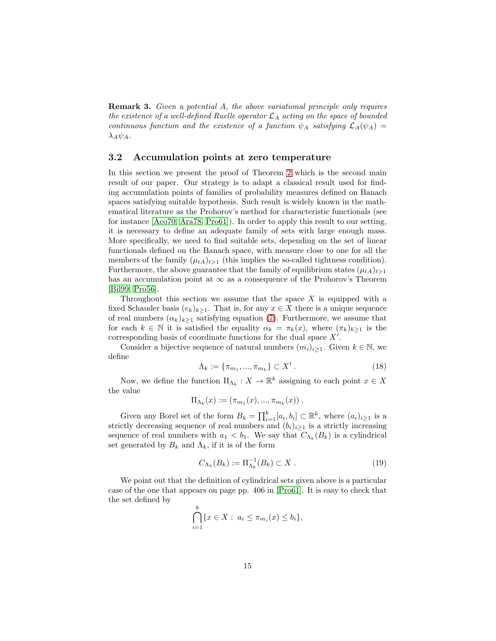Remark 3. *Given a potential* A*, the above variational principle only requires the existence of a well-defined Ruelle operator*  $\mathcal{L}_A$  *acting on the space of bounded continuous function and the existence of a function*  $\psi_A$  *satisfying*  $\mathcal{L}_A(\psi_A)$  =  $\lambda_A \psi_A$ .

#### <span id="page-14-0"></span>3.2 Accumulation points at zero temperature

In this section we present the proof of Theorem [2](#page-10-0) which is the second main result of our paper. Our strategy is to adapt a classical result used for finding accumulation points of families of probability measures defined on Banach spaces satisfying suitable hypothesis. Such result is widely known in the mathematical literature as the Prohorov's method for characteristic functionals (see for instance [\[Aco70,](#page-29-3) [Ara78,](#page-29-4) [Pro61\]](#page-32-6)). In order to apply this result to our setting, it is necessary to define an adequate family of sets with large enough mass. More specifically, we need to find suitable sets, depending on the set of linear functionals defined on the Banach space, with measure close to one for all the members of the family  $(\mu_{tA})_{t>1}$  (this implies the so-called tightness condition). Furthermore, the above guarantee that the family of equilibrium states  $(\mu_{tA})_{t>1}$ has an accumulation point at  $\infty$  as a consequence of the Prohorov's Theorem [\[Bil99,](#page-30-13) [Pro56\]](#page-32-7).

Throughout this section we assume that the space  $X$  is equipped with a fixed Schauder basis  $(e_k)_{k>1}$ . That is, for any  $x \in X$  there is a unique sequence of real numbers  $(\alpha_k)_{k>1}$  satisfying equation [\(7\)](#page-8-1). Furthermore, we assume that for each  $k \in \mathbb{N}$  it is satisfied the equality  $\alpha_k = \pi_k(x)$ , where  $(\pi_k)_{k>1}$  is the corresponding basis of coordinate functions for the dual space  $X'$ .

Consider a bijective sequence of natural numbers  $(m_i)_{i\geq 1}$ . Given  $k \in \mathbb{N}$ , we define

<span id="page-14-1"></span>
$$
\Lambda_k := \{\pi_{m_1}, ..., \pi_{m_k}\} \subset X' \,. \tag{18}
$$

Now, we define the function  $\Pi_{\Lambda_k}: X \to \mathbb{R}^k$  assigning to each point  $x \in X$ the value

$$
\Pi_{\Lambda_k}(x) := (\pi_{m_1}(x), ..., \pi_{m_k}(x)).
$$

Given any Borel set of the form  $B_k = \prod_{i=1}^k [a_i, b_i] \subset \mathbb{R}^k$ , where  $(a_i)_{i \geq 1}$  is a strictly decreasing sequence of real numbers and  $(b_i)_{i\geq 1}$  is a strictly increasing sequence of real numbers with  $a_1 < b_1$ . We say that  $C_{\Lambda_k}(B_k)$  is a cylindrical set generated by  $B_k$  and  $\Lambda_k$ , if it is of the form

<span id="page-14-2"></span>
$$
C_{\Lambda_k}(B_k) := \Pi_{\Lambda_k}^{-1}(B_k) \subset X . \tag{19}
$$

We point out that the definition of cylindrical sets given above is a particular case of the one that appears on page pp. 406 in [\[Pro61\]](#page-32-6). It is easy to check that the set defined by

$$
\bigcap_{i=1}^{k} \{x \in X : a_i \le \pi_{m_i}(x) \le b_i\},\
$$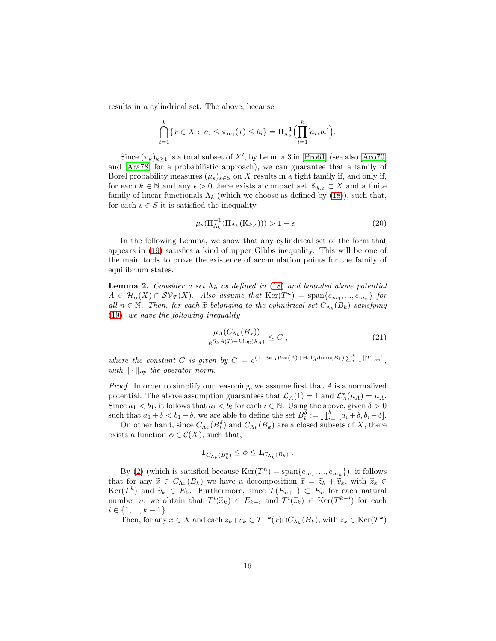results in a cylindrical set. The above, because

$$
\bigcap_{i=1}^k \{x \in X : a_i \le \pi_{m_i}(x) \le b_i\} = \Pi_{\Lambda_k}^{-1} \Biggl( \prod_{i=1}^k [a_i, b_i] \Biggr).
$$

Since  $(\pi_k)_{k\geq 1}$  is a total subset of X', by Lemma 3 in [\[Pro61\]](#page-32-6) (see also [\[Aco70\]](#page-29-3) and [\[Ara78\]](#page-29-4) for a probabilistic approach), we can guarantee that a family of Borel probability measures  $(\mu_s)_{s\in S}$  on X results in a tight family if, and only if, for each  $k \in \mathbb{N}$  and any  $\epsilon > 0$  there exists a compact set  $\mathbb{K}_{k,\epsilon} \subset X$  and a finite family of linear functionals  $\Lambda_k$  (which we choose as defined by [\(18\)](#page-14-1)), such that, for each  $s \in S$  it is satisfied the inequality

<span id="page-15-2"></span>
$$
\mu_s(\Pi_{\Lambda_k}^{-1}(\Pi_{\Lambda_k}(\mathbb{K}_{k,\epsilon}))) > 1 - \epsilon.
$$
\n(20)

In the following Lemma, we show that any cylindrical set of the form that appears in [\(19\)](#page-14-2) satisfies a kind of upper Gibbs inequality. This will be one of the main tools to prove the existence of accumulation points for the family of equilibrium states.

<span id="page-15-1"></span>**Lemma 2.** *Consider a set*  $\Lambda_k$  *as defined in* [\(18\)](#page-14-1) *and bounded above potential*  $A \in \mathcal{H}_{\alpha}(X) \cap \mathcal{SV}_T(X)$ . Also assume that  $\text{Ker}(T^n) = \text{span}\{e_{m_1},...,e_{m_n}\}\$  for  $all \ n \in \mathbb{N}$ . Then, for each  $\widetilde{x}$  belonging to the cylindrical set  $C_{\Lambda_k}(B_k)$  satisfying [\(19\)](#page-14-2)*, we have the following inequality*

<span id="page-15-0"></span>
$$
\frac{\mu_A(C_{\Lambda_k}(B_k))}{e^{S_k A(\tilde{x}) - k \log(\lambda_A)}} \le C \,,\tag{21}
$$

where the constant C is given by  $C = e^{(1+3\kappa_A)V_T(A)+\text{Hol}_A^{\alpha} \text{diam}(B_k) \sum_{i=1}^k ||T||_{op}^{i-1}}$ , *with*  $\|\cdot\|_{op}$  *the operator norm.* 

*Proof.* In order to simplify our reasoning, we assume first that A is a normalized potential. The above assumption guarantees that  $\mathcal{L}_A(1) = 1$  and  $\mathcal{L}_A^*(\mu_A) = \mu_A$ . Since  $a_1 < b_1$ , it follows that  $a_i < b_i$  for each  $i \in \mathbb{N}$ . Using the above, given  $\delta > 0$ such that  $a_1 + \delta < b_1 - \delta$ , we are able to define the set  $B_k^{\delta} := \prod_{i=1}^k [a_i + \delta, b_i - \delta]$ .

On other hand, since  $C_{\Lambda_k}(B_k^{\delta})$  and  $C_{\Lambda_k}(B_k)$  are a closed subsets of X, there exists a function  $\phi \in \mathcal{C}(X)$ , such that,

$$
\mathbf{1}_{C_{\Lambda_k}(B_k^{\delta})} \leq \phi \leq \mathbf{1}_{C_{\Lambda_k}(B_k)}.
$$

By [\(2\)](#page-4-1) (which is satisfied because  $\text{Ker}(T^n) = \text{span}\{e_{m_1},...,e_{m_n}\}\)$ , it follows that for any  $\tilde{x} \in C_{\Lambda_k}(B_k)$  we have a decomposition  $\tilde{x} = \tilde{z}_k + \tilde{v}_k$ , with  $\tilde{z}_k \in K$  $\text{Ker}(T^k)$  and  $\widetilde{v}_k \in E_k$ . Furthermore, since  $T(E_{n+1}) \subset E_n$  for each natural number *n*, we obtain that  $T^i(\tilde{x}_k) \in E_{k-i}$  and  $T^i(\tilde{z}_k) \in \text{Ker}(T^{k-i})$  for each  $i \in \{1, ..., k-1\}.$ 

Then, for any  $x \in X$  and each  $z_k + v_k \in T^{-k}(x) \cap C_{\Lambda_k}(B_k)$ , with  $z_k \in \text{Ker}(T^k)$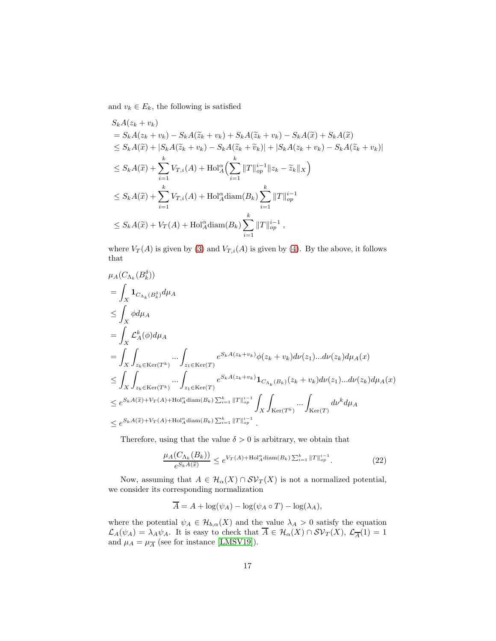and  $v_k \in E_k$ , the following is satisfied

$$
S_k A(z_k + v_k)
$$
  
=  $S_k A(z_k + v_k) - S_k A(\tilde{z}_k + v_k) + S_k A(\tilde{z}_k + v_k) - S_k A(\tilde{x}) + S_k A(\tilde{x})$   
 $\leq S_k A(\tilde{x}) + |S_k A(\tilde{z}_k + v_k) - S_k A(\tilde{z}_k + \tilde{v}_k)| + |S_k A(z_k + v_k) - S_k A(\tilde{z}_k + v_k)|$   
 $\leq S_k A(\tilde{x}) + \sum_{i=1}^k V_{T,i}(A) + \text{Hol}_{A}^{\alpha} \Big(\sum_{i=1}^k ||T||_{op}^{i-1} ||z_k - \tilde{z}_k||_X \Big)$   
 $\leq S_k A(\tilde{x}) + \sum_{i=1}^k V_{T,i}(A) + \text{Hol}_{A}^{\alpha} \text{diam}(B_k) \sum_{i=1}^k ||T||_{op}^{i-1}$   
 $\leq S_k A(\tilde{x}) + V_T(A) + \text{Hol}_{A}^{\alpha} \text{diam}(B_k) \sum_{i=1}^k ||T||_{op}^{i-1},$ 

where  $V_T(A)$  is given by [\(3\)](#page-5-0) and  $V_{T,i}(A)$  is given by [\(4\)](#page-5-2). By the above, it follows that

$$
\mu_{A}(C_{\Lambda_{k}}(B_{k}^{\delta}))
$$
\n
$$
= \int_{X} \mathbf{1}_{C_{\Lambda_{k}}(B_{k}^{\delta})} d\mu_{A}
$$
\n
$$
\leq \int_{X} \phi d\mu_{A}
$$
\n
$$
= \int_{X} \int_{z_{k} \in \text{Ker}(T^{k})} \dots \int_{z_{1} \in \text{Ker}(T)} e^{S_{k} A(z_{k} + v_{k})} \phi(z_{k} + v_{k}) d\nu(z_{1}) \dots d\nu(z_{k}) d\mu_{A}(x)
$$
\n
$$
\leq \int_{X} \int_{z_{k} \in \text{Ker}(T^{k})} \dots \int_{z_{1} \in \text{Ker}(T)} e^{S_{k} A(z_{k} + v_{k})} \mathbf{1}_{C_{\Lambda_{k}}(B_{k})}(z_{k} + v_{k}) d\nu(z_{1}) \dots d\nu(z_{k}) d\mu_{A}(x)
$$
\n
$$
\leq e^{S_{k} A(\tilde{x}) + V_{T}(A) + \text{Hol}_{A}^{\alpha} \text{diam}(B_{k}) \sum_{i=1}^{k} ||T||_{op}^{i-1} \int_{X} \int_{\text{Ker}(T^{k})} \dots \int_{\text{Ker}(T)} d\nu^{k} d\mu_{A}
$$
\n
$$
\leq e^{S_{k} A(\tilde{x}) + V_{T}(A) + \text{Hol}_{A}^{\alpha} \text{diam}(B_{k}) \sum_{i=1}^{k} ||T||_{op}^{i-1}.
$$

Therefore, using that the value  $\delta > 0$  is arbitrary, we obtain that

<span id="page-16-0"></span>
$$
\frac{\mu_A(C_{\Lambda_k}(B_k))}{e^{S_k A(\widetilde{x})}} \le e^{V_T(A) + \text{Hol}_A^{\alpha} \text{diam}(B_k) \sum_{i=1}^k \|T\|_{op}^{i-1}}.
$$
\n(22)

Now, assuming that  $A \in \mathcal{H}_\alpha(X) \cap \mathcal{SV}_T(X)$  is not a normalized potential, we consider its corresponding normalization

$$
\overline{A} = A + \log(\psi_A) - \log(\psi_A \circ T) - \log(\lambda_A),
$$

where the potential  $\psi_A \in \mathcal{H}_{b,\alpha}(X)$  and the value  $\lambda_A > 0$  satisfy the equation  $\mathcal{L}_A(\psi_A) = \lambda_A \psi_A$ . It is easy to check that  $A \in \mathcal{H}_\alpha(X) \cap \mathcal{SV}_T(X)$ ,  $\mathcal{L}_A^{-1}(1) = 1$ and  $\mu_A = \mu_{\overline{A}}$  (see for instance [\[LMSV19\]](#page-32-1)).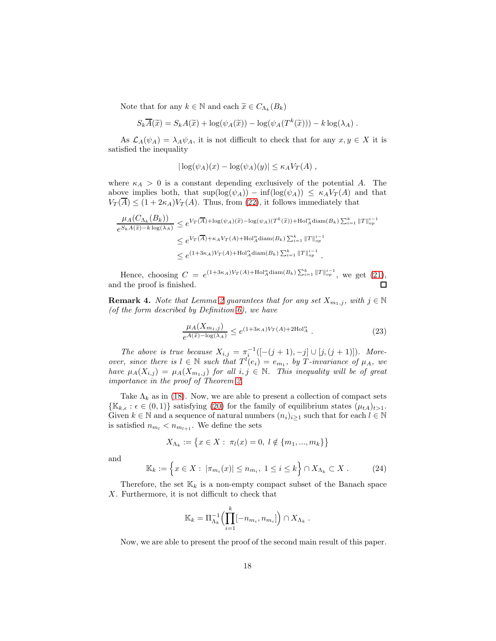Note that for any  $k \in \mathbb{N}$  and each  $\widetilde{x} \in C_{\Lambda_k}(B_k)$ 

$$
S_k \overline{A}(\widetilde{x}) = S_k A(\widetilde{x}) + \log(\psi_A(\widetilde{x})) - \log(\psi_A(T^k(\widetilde{x}))) - k \log(\lambda_A).
$$

As  $\mathcal{L}_A(\psi_A) = \lambda_A \psi_A$ , it is not difficult to check that for any  $x, y \in X$  it is satisfied the inequality

$$
|\log(\psi_A)(x) - \log(\psi_A)(y)| \leq \kappa_A V_T(A) ,
$$

where  $\kappa_A > 0$  is a constant depending exclusively of the potential A. The above implies both, that  $\sup(\log(\psi_A)) - \inf(\log(\psi_A)) \leq \kappa_A V_T(A)$  and that  $V_T(\overline{A}) \leq (1 + 2\kappa_A)V_T(A)$ . Thus, from [\(22\)](#page-16-0), it follows immediately that

$$
\frac{\mu_A(C_{\Lambda_k}(B_k))}{e^{S_k A(\tilde{x}) - k \log(\lambda_A)}} \le e^{V_T(\overline{A}) + \log(\psi_A)(\tilde{x}) - \log(\psi_A)(T^k(\tilde{x})) + \text{Hol}_A^{\alpha} \text{diam}(B_k) \sum_{i=1}^k \|T\|_{op}^{i-1}} \le e^{V_T(\overline{A}) + \kappa_A V_T(A) + \text{Hol}_A^{\alpha} \text{diam}(B_k) \sum_{i=1}^k \|T\|_{op}^{i-1}} \le e^{(1+3\kappa_A)V_T(A) + \text{Hol}_A^{\alpha} \text{diam}(B_k) \sum_{i=1}^k \|T\|_{op}^{i-1}}.
$$

Hence, choosing  $C = e^{(1+3\kappa_A)V_T(A)+\text{Hol}_A^{\alpha} \text{diam}(B_k) \sum_{i=1}^k ||T||_{op}^{i-1}}$ , we get [\(21\)](#page-15-0), and the proof is finished.  $\Box$ 

**Remark 4.** *Note that Lemma [2](#page-15-1)* guarantees that for any set  $X_{m_1,j}$ , with  $j \in \mathbb{N}$ *(of the form described by Definition [6\)](#page-9-1), we have*

$$
\frac{\mu_A(X_{m_1,j})}{e^{A(\widetilde{x}) - \log(\lambda_A)}} \le e^{(1+3\kappa_A)V_T(A) + 2\text{Hol}_A^{\alpha}}.
$$
\n(23)

*The above is true because*  $X_{i,j} = \pi_i^{-1}([- (j + 1), -j] \cup [j, (j + 1)])$ *. Moreover, since there is*  $l \in \mathbb{N}$  *such that*  $T^{l}(e_i) = e_{m_1}$ *, by T*-*invariance of*  $\mu_A$ *, we have*  $\mu_A(X_{i,j}) = \mu_A(X_{m_1,j})$  *for all*  $i, j \in \mathbb{N}$ . *This inequality will be of great importance in the proof of Theorem [2.](#page-10-0)*

Take  $\Lambda_k$  as in [\(18\)](#page-14-1). Now, we are able to present a collection of compact sets  $\{\mathbb{K}_{k,\epsilon} : \epsilon \in (0,1)\}\$  satisfying [\(20\)](#page-15-2) for the family of equilibrium states  $(\mu_{tA})_{t>1}$ . Given  $k \in \mathbb{N}$  and a sequence of natural numbers  $(n_i)_{i\geq 1}$  such that for each  $l \in \mathbb{N}$ is satisfied  $n_{m_l} < n_{m_{l+1}}$ . We define the sets

$$
X_{\Lambda_k} := \{ x \in X : \pi_l(x) = 0, l \notin \{m_1, ..., m_k\} \}
$$

and

<span id="page-17-0"></span>
$$
\mathbb{K}_k := \left\{ x \in X : \left| \pi_{m_i}(x) \right| \le n_{m_i}, \ 1 \le i \le k \right\} \cap X_{\Lambda_k} \subset X . \tag{24}
$$

.

Therefore, the set  $\mathbb{K}_k$  is a non-empty compact subset of the Banach space X. Furthermore, it is not difficult to check that

$$
\mathbb{K}_k = \Pi_{\Lambda_k}^{-1} \Biggl( \prod_{i=1}^k [-n_{m_i}, n_{m_i}] \Biggr) \cap X_{\Lambda_k}
$$

Now, we are able to present the proof of the second main result of this paper.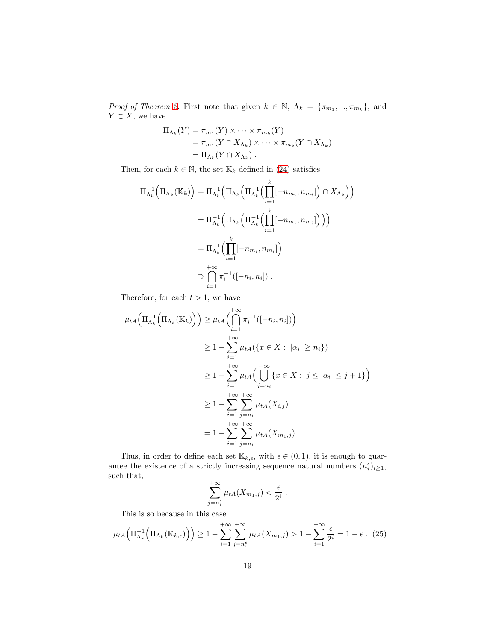*Proof of Theorem [2.](#page-10-0)* First note that given  $k \in \mathbb{N}$ ,  $\Lambda_k = {\pi_{m_1}, ..., \pi_{m_k}}$ , and  $Y \subset X$ , we have

$$
\Pi_{\Lambda_k}(Y) = \pi_{m_1}(Y) \times \cdots \times \pi_{m_k}(Y)
$$
  
=  $\pi_{m_1}(Y \cap X_{\Lambda_k}) \times \cdots \times \pi_{m_k}(Y \cap X_{\Lambda_k})$   
=  $\Pi_{\Lambda_k}(Y \cap X_{\Lambda_k})$ .

Then, for each  $k \in \mathbb{N}$ , the set  $\mathbb{K}_k$  defined in [\(24\)](#page-17-0) satisfies

$$
\Pi_{\Lambda_k}^{-1} \Big( \Pi_{\Lambda_k} (\mathbb{K}_k) \Big) = \Pi_{\Lambda_k}^{-1} \Big( \Pi_{\Lambda_k} \Big( \Pi_{\Lambda_k}^{-1} \Big( \prod_{i=1}^k [-n_{m_i}, n_{m_i}] \Big) \cap X_{\Lambda_k} \Big) \Big) \n= \Pi_{\Lambda_k}^{-1} \Big( \Pi_{\Lambda_k} \Big( \Pi_{\Lambda_k}^{-1} \Big( \prod_{i=1}^k [-n_{m_i}, n_{m_i}] \Big) \Big) \Big) \n= \Pi_{\Lambda_k}^{-1} \Big( \prod_{i=1}^k [-n_{m_i}, n_{m_i}] \Big) \n\supset \bigcap_{i=1}^{+\infty} \pi_i^{-1} ([-n_i, n_i] ) .
$$

Therefore, for each  $t > 1$ , we have

$$
\mu_{tA}\Big(\Pi_{\Lambda_k}^{-1}\Big(\Pi_{\Lambda_k}(\mathbb{K}_k)\Big)\Big) \geq \mu_{tA}\Big(\bigcap_{i=1}^{+\infty} \pi_i^{-1}([-n_i, n_i])\Big) \geq 1 - \sum_{i=1}^{+\infty} \mu_{tA}\Big(\{x \in X : |\alpha_i| \geq n_i\}\Big) \geq 1 - \sum_{i=1}^{+\infty} \mu_{tA}\Big(\bigcup_{j=n_i}^{+\infty} \{x \in X : j \leq |\alpha_i| \leq j+1\}\Big) \geq 1 - \sum_{i=1}^{+\infty} \sum_{j=n_i}^{+\infty} \mu_{tA}(X_{i,j}) = 1 - \sum_{i=1}^{+\infty} \sum_{j=n_i}^{+\infty} \mu_{tA}(X_{m_1,j}).
$$

Thus, in order to define each set  $\mathbb{K}_{k,\epsilon}$ , with  $\epsilon \in (0,1)$ , it is enough to guarantee the existence of a strictly increasing sequence natural numbers  $(n_i^{\epsilon})_{i\geq 1}$ , such that,  $^{+}$ 

$$
\sum_{j=n_i^{\epsilon}}^{+\infty} \mu_{tA}(X_{m_1,j}) < \frac{\epsilon}{2^i} .
$$

This is so because in this case

<span id="page-18-0"></span>
$$
\mu_{tA}\left(\Pi_{\Lambda_k}^{-1}\left(\Pi_{\Lambda_k}(\mathbb{K}_{k,\epsilon})\right)\right) \ge 1 - \sum_{i=1}^{+\infty} \sum_{j=n_i^{\epsilon}}^{\infty} \mu_{tA}(X_{m_1,j}) > 1 - \sum_{i=1}^{+\infty} \frac{\epsilon}{2^i} = 1 - \epsilon \tag{25}
$$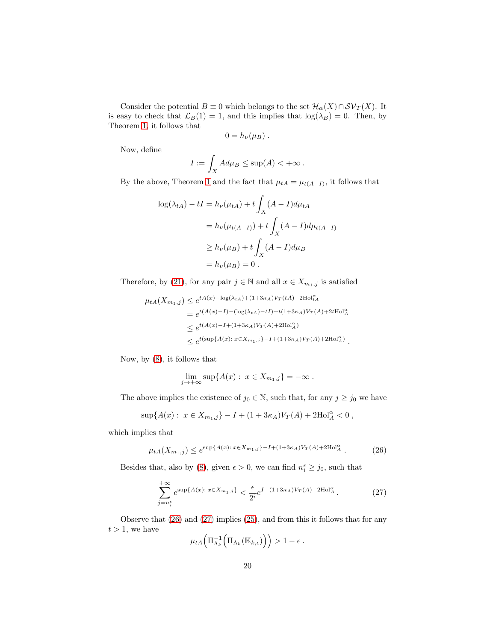Consider the potential  $B \equiv 0$  which belongs to the set  $\mathcal{H}_{\alpha}(X) \cap \mathcal{SV}_T(X)$ . It is easy to check that  $\mathcal{L}_B(1) = 1$ , and this implies that  $log(\lambda_B) = 0$ . Then, by Theorem [1,](#page-8-0) it follows that

$$
0=h_{\nu}(\mu_B)\ .
$$

Now, define

$$
I := \int_X Ad\mu_B \leq \sup(A) < +\infty.
$$

By the above, Theorem [1](#page-8-0) and the fact that  $\mu_{tA} = \mu_{t(A-I)}$ , it follows that

$$
\log(\lambda_{tA}) - tI = h_{\nu}(\mu_{tA}) + t \int_X (A - I)d\mu_{tA}
$$
  
=  $h_{\nu}(\mu_{t(A - I)}) + t \int_X (A - I)d\mu_{t(A - I)}$   
 $\geq h_{\nu}(\mu_B) + t \int_X (A - I)d\mu_B$   
=  $h_{\nu}(\mu_B) = 0$ .

Therefore, by [\(21\)](#page-15-0), for any pair  $j \in \mathbb{N}$  and all  $x \in X_{m_1,j}$  is satisfied

$$
\mu_{tA}(X_{m_1,j}) \leq e^{tA(x) - \log(\lambda_{tA}) + (1 + 3\kappa_A)V_T(tA) + 2\text{Hol}_{tA}^{\alpha}}
$$
  
=  $e^{t(A(x) - I) - (\log(\lambda_{tA}) - tI) + t(1 + 3\kappa_A)V_T(A) + 2t\text{Hol}_{A}^{\alpha}}$   
 $\leq e^{t(A(x) - I + (1 + 3\kappa_A)V_T(A) + 2\text{Hol}_{A}^{\alpha}}$   
 $\leq e^{t(\text{sup}\{A(x) : x \in X_{m_1,j}\} - I + (1 + 3\kappa_A)V_T(A) + 2\text{Hol}_{A}^{\alpha}}$ .

Now, by [\(8\)](#page-9-2), it follows that

$$
\lim_{j \to +\infty} \sup \{ A(x) : x \in X_{m_1,j} \} = -\infty.
$$

The above implies the existence of  $j_0 \in \mathbb{N}$ , such that, for any  $j \ge j_0$  we have

$$
\sup\{A(x): x \in X_{m_1,j}\} - I + (1 + 3\kappa_A)V_T(A) + 2\text{Hol}_A^{\alpha} < 0,
$$

which implies that

<span id="page-19-0"></span>
$$
\mu_{tA}(X_{m_1,j}) \le e^{\sup\{A(x): x \in X_{m_1,j}\} - I + (1+3\kappa_A)V_T(A) + 2\text{Hol}_A^{\alpha}}.
$$
 (26)

Besides that, also by [\(8\)](#page-9-2), given  $\epsilon > 0$ , we can find  $n_i^{\epsilon} \ge j_0$ , such that

<span id="page-19-1"></span>
$$
\sum_{j=n_i^{\epsilon}}^{+\infty} e^{\sup\{A(x): x \in X_{m_1,j}\}} < \frac{\epsilon}{2^i} e^{I - (1+3\kappa_A)V_T(A) - 2\text{Hol}_A^{\alpha}}.
$$
 (27)

Observe that [\(26\)](#page-19-0) and [\(27\)](#page-19-1) implies [\(25\)](#page-18-0), and from this it follows that for any  $t>1, \hspace{1mm}$  we have  $\overline{ }$ 

$$
\mu_{tA}\Big(\Pi_{\Lambda_k}^{-1}\Big(\Pi_{\Lambda_k}(\mathbb{K}_{k,\epsilon})\Big)\Big) > 1 - \epsilon.
$$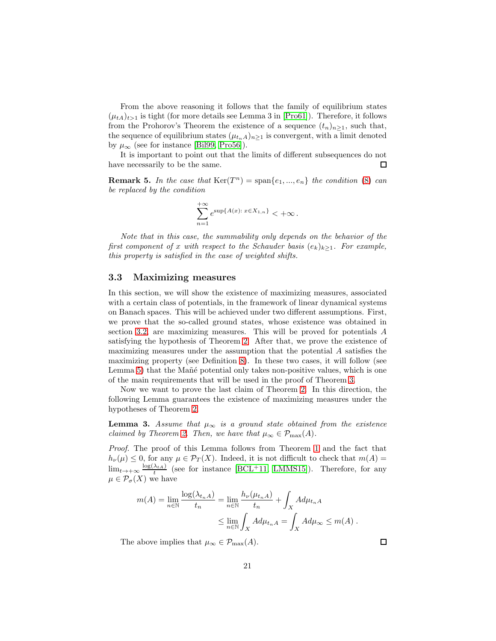From the above reasoning it follows that the family of equilibrium states  $(\mu_{tA})_{t>1}$  is tight (for more details see Lemma 3 in  $|Proof1|$ ). Therefore, it follows from the Prohorov's Theorem the existence of a sequence  $(t_n)_{n\geq 1}$ , such that, the sequence of equilibrium states  $(\mu_{t_nA})_{n>1}$  is convergent, with a limit denoted by  $\mu_{\infty}$  (see for instance [\[Bil99,](#page-30-13) [Pro56\]](#page-32-7)).

It is important to point out that the limits of different subsequences do not have necessarily to be the same.  $\Box$ 

**Remark 5.** In the case that  $\text{Ker}(T^n) = \text{span}\{e_1, ..., e_n\}$  the condition [\(8\)](#page-9-2) can *be replaced by the condition*

$$
\sum_{n=1}^{+\infty} e^{\sup\{A(x): x \in X_{1,n}\}} < +\infty.
$$

*Note that in this case, the summability only depends on the behavior of the first component of* x *with respect to the Schauder basis*  $(e_k)_{k>1}$ *. For example, this property is satisfied in the case of weighted shifts.*

#### <span id="page-20-0"></span>3.3 Maximizing measures

In this section, we will show the existence of maximizing measures, associated with a certain class of potentials, in the framework of linear dynamical systems on Banach spaces. This will be achieved under two different assumptions. First, we prove that the so-called ground states, whose existence was obtained in section [3.2,](#page-14-0) are maximizing measures. This will be proved for potentials A satisfying the hypothesis of Theorem [2.](#page-10-0) After that, we prove the existence of maximizing measures under the assumption that the potential  $A$  satisfies the maximizing property (see Definition [8\)](#page-10-2). In these two cases, it will follow (see Lemma [5\)](#page-22-1) that the Mañé potential only takes non-positive values, which is one of the main requirements that will be used in the proof of Theorem [3.](#page-12-2)

Now we want to prove the last claim of Theorem [2.](#page-10-0) In this direction, the following Lemma guarantees the existence of maximizing measures under the hypotheses of Theorem [2.](#page-10-0)

<span id="page-20-1"></span>**Lemma 3.** *Assume that*  $\mu_{\infty}$  *is a ground state obtained from the existence claimed by Theorem [2.](#page-10-0) Then, we have that*  $\mu_{\infty} \in \mathcal{P}_{\max}(A)$ .

*Proof.* The proof of this Lemma follows from Theorem [1](#page-8-0) and the fact that  $h_{\nu}(\mu) \leq 0$ , for any  $\mu \in \mathcal{P}_T(X)$ . Indeed, it is not difficult to check that  $m(A)$  $\lim_{t\to+\infty}\frac{\log(\lambda_{tA})}{t}$  (see for instance [\[BCL](#page-29-2)<sup>+</sup>11, [LMMS15\]](#page-31-11)). Therefore, for any  $\mu \in \mathcal{P}_{\sigma}(X)$  we have

$$
m(A) = \lim_{n \in \mathbb{N}} \frac{\log(\lambda_{t_n A})}{t_n} = \lim_{n \in \mathbb{N}} \frac{h_{\nu}(\mu_{t_n A})}{t_n} + \int_X A d\mu_{t_n A}
$$
  

$$
\leq \lim_{n \in \mathbb{N}} \int_X A d\mu_{t_n A} = \int_X A d\mu_{\infty} \leq m(A) .
$$

The above implies that  $\mu_{\infty} \in \mathcal{P}_{\max}(A)$ .

 $\Box$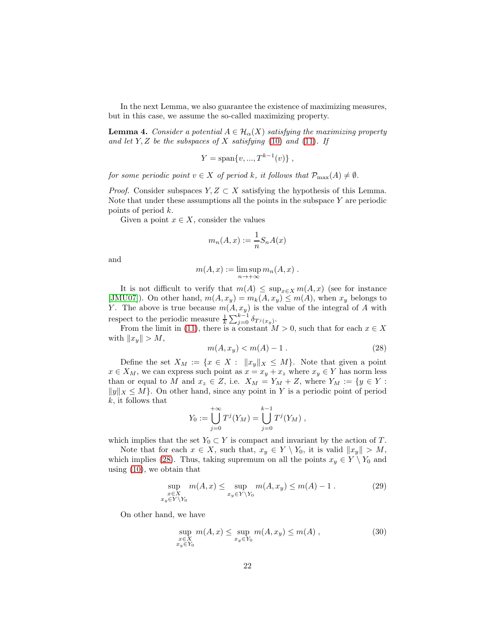In the next Lemma, we also guarantee the existence of maximizing measures, but in this case, we assume the so-called maximizing property.

<span id="page-21-0"></span>**Lemma 4.** *Consider a potential*  $A \in \mathcal{H}_{\alpha}(X)$  *satisfying the maximizing property and let* Y, Z *be the subspaces of* X *satisfying* [\(10\)](#page-10-3) *and* [\(11\)](#page-10-4)*. If*

$$
Y = \text{span}\{v, ..., T^{k-1}(v)\}\,
$$

*for some periodic point*  $v \in X$  *of period* k, it follows that  $\mathcal{P}_{\text{max}}(A) \neq \emptyset$ .

*Proof.* Consider subspaces  $Y, Z \subset X$  satisfying the hypothesis of this Lemma. Note that under these assumptions all the points in the subspace  $Y$  are periodic points of period k.

Given a point  $x \in X$ , consider the values

$$
m_n(A, x) := \frac{1}{n} S_n A(x)
$$

and

$$
m(A, x) := \limsup_{n \to +\infty} m_n(A, x) .
$$

It is not difficult to verify that  $m(A) \leq \sup_{x \in X} m(A, x)$  (see for instance [\[JMU07\]](#page-31-7)). On other hand,  $m(A, x_y) = m_k(A, x_y) \le m(A)$ , when  $x_y$  belongs to Y. The above is true because  $m(A, x_y)$  is the value of the integral of A with respect to the periodic measure  $\frac{1}{k} \sum_{j=0}^{k-1} \delta_{T^j(x_y)}$ .

From the limit in [\(11\)](#page-10-4), there is a constant  $M > 0$ , such that for each  $x \in X$ with  $||x_y|| > M$ ,

<span id="page-21-1"></span>
$$
m(A, x_y) < m(A) - 1 \tag{28}
$$

Define the set  $X_M := \{x \in X : ||x_y||_X \leq M\}$ . Note that given a point  $x \in X_M$ , we can express such point as  $x = x_y + x_z$  where  $x_y \in Y$  has norm less than or equal to M and  $x_z \in Z$ , i.e.  $X_M = Y_M + Z$ , where  $Y_M := \{y \in Y :$  $||y||_X \leq M$ . On other hand, since any point in Y is a periodic point of period  $k$ , it follows that

$$
Y_0 := \bigcup_{j=0}^{+\infty} T^j(Y_M) = \bigcup_{j=0}^{k-1} T^j(Y_M) ,
$$

which implies that the set  $Y_0 \subset Y$  is compact and invariant by the action of T.

Note that for each  $x \in X$ , such that,  $x_y \in Y \setminus Y_0$ , it is valid  $||x_y|| > M$ , which implies [\(28\)](#page-21-1). Thus, taking supremum on all the points  $x_y \in Y \setminus Y_0$  and using [\(10\)](#page-10-3), we obtain that

<span id="page-21-2"></span>
$$
\sup_{\substack{x \in X \\ x_y \in Y \setminus Y_0}} m(A, x) \le \sup_{x_y \in Y \setminus Y_0} m(A, x_y) \le m(A) - 1. \tag{29}
$$

On other hand, we have

<span id="page-21-3"></span>
$$
\sup_{\substack{x \in X \\ x_y \in Y_0}} m(A, x) \le \sup_{x_y \in Y_0} m(A, x_y) \le m(A) ,
$$
\n(30)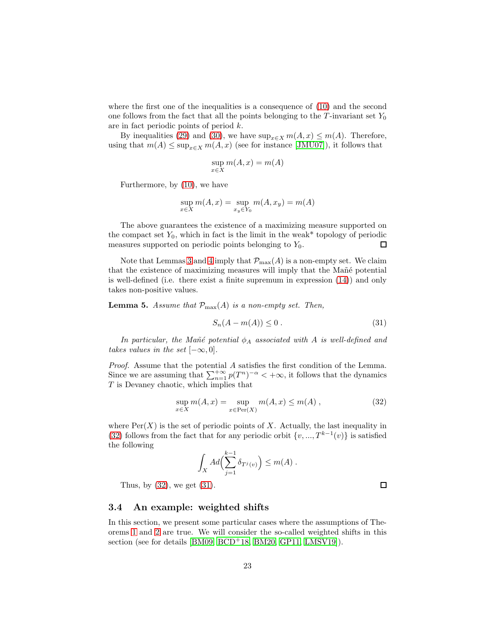where the first one of the inequalities is a consequence of  $(10)$  and the second one follows from the fact that all the points belonging to the  $T$ -invariant set  $Y_0$ are in fact periodic points of period k.

By inequalities [\(29\)](#page-21-2) and [\(30\)](#page-21-3), we have  $\sup_{x \in X} m(A, x) \le m(A)$ . Therefore, using that  $m(A) \le \sup_{x \in X} m(A, x)$  (see for instance [\[JMU07\]](#page-31-7)), it follows that

$$
\sup_{x \in X} m(A, x) = m(A)
$$

Furthermore, by [\(10\)](#page-10-3), we have

$$
\sup_{x \in X} m(A, x) = \sup_{x_y \in Y_0} m(A, x_y) = m(A)
$$

The above guarantees the existence of a maximizing measure supported on the compact set  $Y_0$ , which in fact is the limit in the weak\* topology of periodic measures supported on periodic points belonging to  $Y_0$ .  $\Box$ 

Note that Lemmas [3](#page-20-1) and [4](#page-21-0) imply that  $\mathcal{P}_{\text{max}}(A)$  is a non-empty set. We claim that the existence of maximizing measures will imply that the Mañé potential is well-defined (i.e. there exist a finite supremum in expression [\(14\)](#page-11-1)) and only takes non-positive values.

<span id="page-22-1"></span>**Lemma 5.** Assume that  $\mathcal{P}_{\text{max}}(A)$  is a non-empty set. Then,

<span id="page-22-3"></span>
$$
S_n(A - m(A)) \le 0. \tag{31}
$$

*In particular, the Mañé potential*  $\phi_A$  *associated with* A *is well-defined and takes values in the set*  $[-\infty, 0]$ *.* 

*Proof.* Assume that the potential A satisfies the first condition of the Lemma. Since we are assuming that  $\sum_{n=1}^{+\infty} p(T^n)^{-\alpha} < +\infty$ , it follows that the dynamics T is Devaney chaotic, which implies that

<span id="page-22-2"></span>
$$
\sup_{x \in X} m(A, x) = \sup_{x \in Per(X)} m(A, x) \le m(A), \qquad (32)
$$

where  $\text{Per}(X)$  is the set of periodic points of X. Actually, the last inequality in [\(32\)](#page-22-2) follows from the fact that for any periodic orbit  $\{v, ..., T^{k-1}(v)\}\)$  is satisfied the following

$$
\int_X Ad\Bigl(\sum_{j=1}^{k-1} \delta_{T^j(v)}\Bigr) \leq m(A) .
$$

Thus, by  $(32)$ , we get  $(31)$ .

#### <span id="page-22-0"></span>3.4 An example: weighted shifts

In this section, we present some particular cases where the assumptions of Theorems [1](#page-8-0) and [2](#page-10-0) are true. We will consider the so-called weighted shifts in this section (see for details [\[BM09,](#page-29-1) [BCD](#page-30-1)<sup>+</sup>18, [BM20,](#page-30-2) [GP11,](#page-31-4) [LMSV19\]](#page-32-1)).

 $\Box$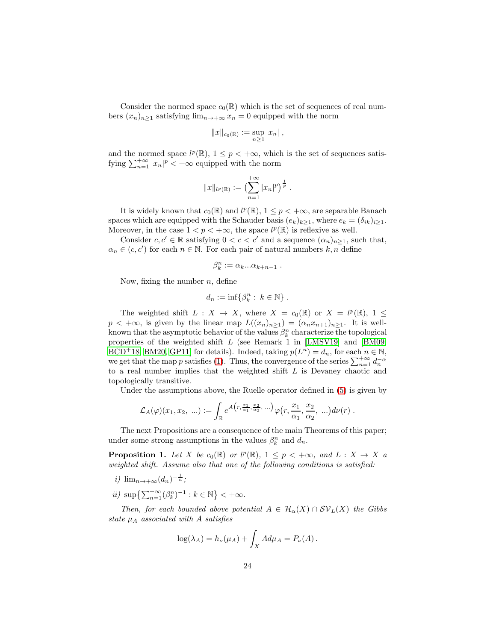Consider the normed space  $c_0(\mathbb{R})$  which is the set of sequences of real numbers  $(x_n)_{n\geq 1}$  satisfying  $\lim_{n\to+\infty} x_n = 0$  equipped with the norm

$$
||x||_{c_0(\mathbb{R})} := \sup_{n \ge 1} |x_n|,
$$

and the normed space  $l^p(\mathbb{R})$ ,  $1 \leq p < +\infty$ , which is the set of sequences satisfying  $\sum_{n=1}^{+\infty} |x_n|^p < +\infty$  equipped with the norm

$$
||x||_{l^p(\mathbb{R})} := \left(\sum_{n=1}^{+\infty} |x_n|^p\right)^{\frac{1}{p}}.
$$

It is widely known that  $c_0(\mathbb{R})$  and  $l^p(\mathbb{R})$ ,  $1 \leq p < +\infty$ , are separable Banach spaces which are equipped with the Schauder basis  $(e_k)_{k>1}$ , where  $e_k = (\delta_{ik})_{i>1}$ . Moreover, in the case  $1 < p < +\infty$ , the space  $l^p(\mathbb{R})$  is reflexive as well.

Consider  $c, c' \in \mathbb{R}$  satisfying  $0 < c < c'$  and a sequence  $(\alpha_n)_{n \geq 1}$ , such that,  $\alpha_n \in (c, c')$  for each  $n \in \mathbb{N}$ . For each pair of natural numbers  $k, n$  define

$$
\beta_k^n := \alpha_k...\alpha_{k+n-1} .
$$

Now, fixing the number  $n$ , define

$$
d_n := \inf \{ \beta_k^n : k \in \mathbb{N} \} .
$$

The weighted shift  $L : X \to X$ , where  $X = c_0(\mathbb{R})$  or  $X = l^p(\mathbb{R})$ ,  $1 \leq$  $p < +\infty$ , is given by the linear map  $L((x_n)_{n\geq 1}) = (\alpha_n x_{n+1})_{n\geq 1}$ . It is wellknown that the asymptotic behavior of the values  $\beta_k^n$  characterize the topological properties of the weighted shift L (see Remark 1 in [\[LMSV19\]](#page-32-1) and [\[BM09,](#page-29-1) [BCD](#page-30-1)<sup>+</sup>18, [BM20,](#page-30-2) [GP11\]](#page-31-4) for details). Indeed, taking  $p(L^n) = d_n$ , for each  $n \in \mathbb{N}$ , we get that the map p satisfies [\(1\)](#page-4-2). Thus, the convergence of the series  $\sum_{n=1}^{+\infty} d_n^{-\alpha}$ to a real number implies that the weighted shift L is Devaney chaotic and topologically transitive.

Under the assumptions above, the Ruelle operator defined in [\(5\)](#page-6-1) is given by

$$
\mathcal{L}_A(\varphi)(x_1, x_2, \ldots) := \int_{\mathbb{R}} e^{A\left(r, \frac{x_1}{\alpha_1}, \frac{x_2}{\alpha_2}, \ldots\right)} \varphi\left(r, \frac{x_1}{\alpha_1}, \frac{x_2}{\alpha_2}, \ldots\right) d\nu(r) .
$$

The next Propositions are a consequence of the main Theorems of this paper; under some strong assumptions in the values  $\beta_k^n$  and  $d_n$ .

<span id="page-23-0"></span>**Proposition 1.** Let X be  $c_0(\mathbb{R})$  or  $l^p(\mathbb{R})$ ,  $1 \leq p < +\infty$ , and  $L: X \to X$  a *weighted shift. Assume also that one of the following conditions is satisfied:*

- *i*)  $\lim_{n \to +\infty} (d_n)^{-\frac{1}{n}};$
- *ii*)  $\sup\left\{\sum_{n=1}^{+\infty}(\beta_k^n)^{-1} : k \in \mathbb{N}\right\} < +\infty$ .

*Then, for each bounded above potential*  $A \in \mathcal{H}_\alpha(X) \cap SV_L(X)$  *the Gibbs state*  $\mu_A$  *associated with* A *satisfies* 

$$
\log(\lambda_A) = h_{\nu}(\mu_A) + \int_X A d\mu_A = P_{\nu}(A).
$$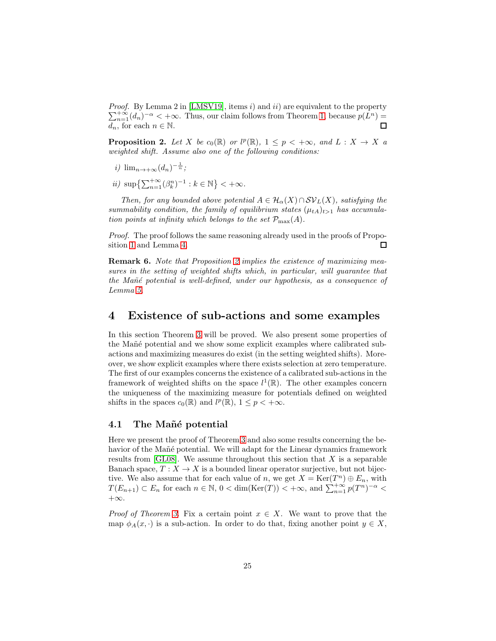*Proof.* By Lemma 2 in [\[LMSV19\]](#page-32-1), items i) and ii) are equivalent to the property  $\sum_{n=1}^{+\infty} (d_n)^{-\alpha} < +\infty$ . Thus, our claim follows from Theorem [1,](#page-8-0) because  $p(L^n)$  =  $d_n$ , for each  $n \in \mathbb{N}$ .  $\Box$ 

<span id="page-24-2"></span>**Proposition 2.** Let X be  $c_0(\mathbb{R})$  or  $l^p(\mathbb{R})$ ,  $1 \leq p < +\infty$ , and  $L: X \to X$  a *weighted shift. Assume also one of the following conditions:*

- *i*)  $\lim_{n \to +\infty} (d_n)^{-\frac{1}{n}};$
- *ii*)  $\sup\left\{\sum_{n=1}^{+\infty}(\beta_k^n)^{-1} : k \in \mathbb{N}\right\} < +\infty$ .

*Then, for any bounded above potential*  $A \in H_\alpha(X) \cap SV_L(X)$ *, satisfying the* summability condition, the family of equilibrium states  $(\mu_{tA})_{t>1}$  has accumula*tion points at infinity which belongs to the set*  $\mathcal{P}_{\text{max}}(A)$ .

*Proof.* The proof follows the same reasoning already used in the proofs of Proposition [1](#page-23-0) and Lemma [4.](#page-21-0)  $\Box$ 

Remark 6. *Note that Proposition [2](#page-24-2) implies the existence of maximizing measures in the setting of weighted shifts which, in particular, will guarantee that the Ma˜n´e potential is well-defined, under our hypothesis, as a consequence of Lemma [5.](#page-22-1)*

## <span id="page-24-0"></span>4 Existence of sub-actions and some examples

In this section Theorem [3](#page-12-2) will be proved. We also present some properties of the Mañé potential and we show some explicit examples where calibrated subactions and maximizing measures do exist (in the setting weighted shifts). Moreover, we show explicit examples where there exists selection at zero temperature. The first of our examples concerns the existence of a calibrated sub-actions in the framework of weighted shifts on the space  $l^1(\mathbb{R})$ . The other examples concern the uniqueness of the maximizing measure for potentials defined on weighted shifts in the spaces  $c_0(\mathbb{R})$  and  $l^p(\mathbb{R})$ ,  $1 \leq p < +\infty$ .

#### <span id="page-24-1"></span>4.1 The Mañé potential

Here we present the proof of Theorem [3](#page-12-2) and also some results concerning the behavior of the Mañé potential. We will adapt for the Linear dynamics framework results from  $[GL08]$ . We assume throughout this section that X is a separable Banach space,  $T : X \to X$  is a bounded linear operator surjective, but not bijective. We also assume that for each value of n, we get  $X = \text{Ker}(T^n) \oplus E_n$ , with  $T(E_{n+1}) \subset E_n$  for each  $n \in \mathbb{N}$ ,  $0 < \dim(\text{Ker}(T)) < +\infty$ , and  $\sum_{n=1}^{+\infty} p(T^n)^{-\alpha} <$  $+\infty$ .

*Proof of Theorem [3.](#page-12-2)* Fix a certain point  $x \in X$ . We want to prove that the map  $\phi_A(x, \cdot)$  is a sub-action. In order to do that, fixing another point  $y \in X$ ,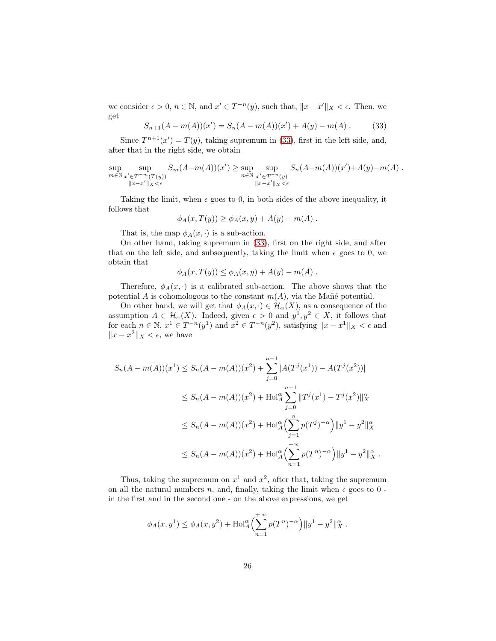we consider  $\epsilon > 0$ ,  $n \in \mathbb{N}$ , and  $x' \in T^{-n}(y)$ , such that,  $||x - x'||_X < \epsilon$ . Then, we get

<span id="page-25-0"></span>
$$
S_{n+1}(A - m(A))(x') = S_n(A - m(A))(x') + A(y) - m(A).
$$
 (33)

Since  $T^{n+1}(x') = T(y)$ , taking supremum in [\(33\)](#page-25-0), first in the left side, and, after that in the right side, we obtain

$$
\sup_{m \in \mathbb{N}} \sup_{\substack{x' \in T^{-m}(T(y)) \\ \|x - x'\|_X < \epsilon}} S_m(A - m(A))(x') \ge \sup_{n \in \mathbb{N}} \sup_{\substack{x' \in T^{-n}(y) \\ \|x - x'\|_X < \epsilon}} S_n(A - m(A))(x') + A(y) - m(A) .
$$

Taking the limit, when  $\epsilon$  goes to 0, in both sides of the above inequality, it follows that

$$
\phi_A(x,T(y)) \ge \phi_A(x,y) + A(y) - m(A) .
$$

That is, the map  $\phi_A(x, \cdot)$  is a sub-action.

On other hand, taking supremum in [\(33\)](#page-25-0), first on the right side, and after that on the left side, and subsequently, taking the limit when  $\epsilon$  goes to 0, we obtain that

$$
\phi_A(x,T(y)) \le \phi_A(x,y) + A(y) - m(A) .
$$

Therefore,  $\phi_A(x, \cdot)$  is a calibrated sub-action. The above shows that the potential A is cohomologous to the constant  $m(A)$ , via the Mañé potential.

On other hand, we will get that  $\phi_A(x, \cdot) \in \mathcal{H}_\alpha(X)$ , as a consequence of the assumption  $A \in \mathcal{H}_{\alpha}(X)$ . Indeed, given  $\epsilon > 0$  and  $y^1, y^2 \in X$ , it follows that for each  $n \in \mathbb{N}$ ,  $x^1 \in T^{-n}(y^1)$  and  $x^2 \in T^{-n}(y^2)$ , satisfying  $||x - x^1||_X < \epsilon$  and  $||x - x^2||$ <sub>X</sub> < ε, we have

$$
S_n(A - m(A))(x^1) \le S_n(A - m(A))(x^2) + \sum_{j=0}^{n-1} |A(T^j(x^1)) - A(T^j(x^2))|
$$
  
\n
$$
\le S_n(A - m(A))(x^2) + \text{Hol}_A^{\alpha} \sum_{j=0}^{n-1} ||T^j(x^1) - T^j(x^2)||_X^{\alpha}
$$
  
\n
$$
\le S_n(A - m(A))(x^2) + \text{Hol}_A^{\alpha} \Big(\sum_{j=1}^n p(T^j)^{-\alpha}\Big) ||y^1 - y^2||_X^{\alpha}
$$
  
\n
$$
\le S_n(A - m(A))(x^2) + \text{Hol}_A^{\alpha} \Big(\sum_{n=1}^{n} p(T^n)^{-\alpha}\Big) ||y^1 - y^2||_X^{\alpha}
$$

Thus, taking the supremum on  $x^1$  and  $x^2$ , after that, taking the supremum on all the natural numbers n, and, finally, taking the limit when  $\epsilon$  goes to 0 in the first and in the second one - on the above expressions, we get

$$
\phi_A(x, y^1) \le \phi_A(x, y^2) + \text{Hol}_A^{\alpha} \left( \sum_{n=1}^{+\infty} p(T^n)^{-\alpha} \right) ||y^1 - y^2||_X^{\alpha}.
$$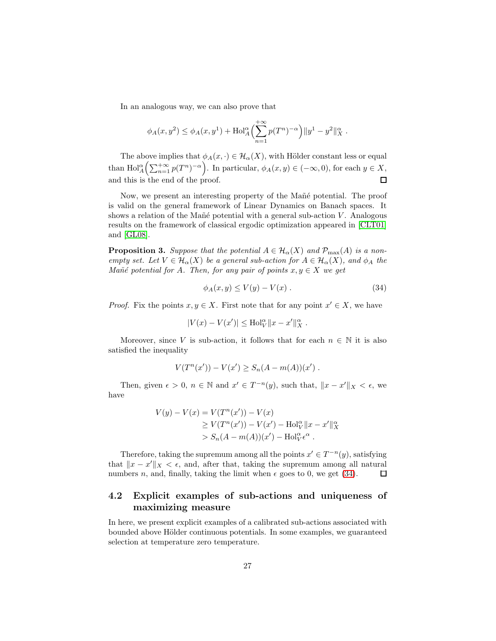In an analogous way, we can also prove that

$$
\phi_A(x, y^2) \le \phi_A(x, y^1) + \text{Hol}_A^{\alpha} \left( \sum_{n=1}^{+\infty} p(T^n)^{-\alpha} \right) \|y^1 - y^2\|_X^{\alpha}.
$$

The above implies that  $\phi_A(x, \cdot) \in \mathcal{H}_\alpha(X)$ , with Hölder constant less or equal than  $\text{Hol}_A^{\alpha} \Big( \sum_{n=1}^{+\infty} p(T^n)^{-\alpha} \Big)$ . In particular,  $\phi_A(x, y) \in (-\infty, 0)$ , for each  $y \in X$ , and this is the end of the proof.  $\Box$ 

Now, we present an interesting property of the Mañé potential. The proof is valid on the general framework of Linear Dynamics on Banach spaces. It shows a relation of the Mañé potential with a general sub-action  $V$ . Analogous results on the framework of classical ergodic optimization appeared in [\[CLT01\]](#page-30-4) and [\[GL08\]](#page-31-12).

**Proposition 3.** Suppose that the potential  $A \in \mathcal{H}_\alpha(X)$  and  $\mathcal{P}_{\max}(A)$  is a non*empty set.* Let  $V \in \mathcal{H}_{\alpha}(X)$  *be a general sub-action for*  $A \in \mathcal{H}_{\alpha}(X)$ *, and*  $\phi_A$  *the Mañé potential for* A. Then, for any pair of points  $x, y \in X$  we get

<span id="page-26-1"></span>
$$
\phi_A(x, y) \le V(y) - V(x) . \tag{34}
$$

*Proof.* Fix the points  $x, y \in X$ . First note that for any point  $x' \in X$ , we have

$$
|V(x) - V(x')| \leq Hol_V^{\alpha} ||x - x'||_X^{\alpha}.
$$

Moreover, since V is sub-action, it follows that for each  $n \in \mathbb{N}$  it is also satisfied the inequality

$$
V(T^{n}(x')) - V(x') \ge S_n(A - m(A))(x') .
$$

Then, given  $\epsilon > 0$ ,  $n \in \mathbb{N}$  and  $x' \in T^{-n}(y)$ , such that,  $||x - x'||_X < \epsilon$ , we have

$$
V(y) - V(x) = V(T^{n}(x')) - V(x)
$$
  
\n
$$
\geq V(T^{n}(x')) - V(x') - Hol_{V}^{\alpha} ||x - x'||_{X}^{\alpha}
$$
  
\n
$$
> S_{n}(A - m(A))(x') - Hol_{V}^{\alpha} e^{\alpha}.
$$

Therefore, taking the supremum among all the points  $x' \in T^{-n}(y)$ , satisfying that  $||x - x'||_X < \epsilon$ , and, after that, taking the supremum among all natural numbers n, and, finally, taking the limit when  $\epsilon$  goes to 0, we get [\(34\)](#page-26-1). 口

### <span id="page-26-0"></span>4.2 Explicit examples of sub-actions and uniqueness of maximizing measure

In here, we present explicit examples of a calibrated sub-actions associated with bounded above Hölder continuous potentials. In some examples, we guaranteed selection at temperature zero temperature.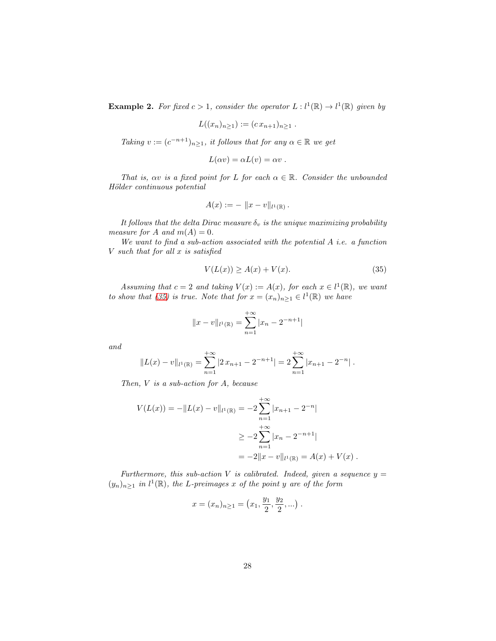<span id="page-27-0"></span>**Example 2.** For fixed  $c > 1$ , consider the operator  $L: l^1(\mathbb{R}) \to l^1(\mathbb{R})$  given by

$$
L((x_n)_{n\geq 1}) := (c\,x_{n+1})_{n\geq 1} \; .
$$

*Taking*  $v := (c^{-n+1})_{n \geq 1}$ *, it follows that for any*  $\alpha \in \mathbb{R}$  *we get* 

$$
L(\alpha v) = \alpha L(v) = \alpha v.
$$

*That is,*  $\alpha v$  *is a fixed point for* L *for each*  $\alpha \in \mathbb{R}$ *. Consider the unbounded H¨older continuous potential*

$$
A(x) := - \|x - v\|_{l^1(\mathbb{R})}.
$$

*It follows that the delta Dirac measure*  $\delta_v$  *is the unique maximizing probability measure for* A *and*  $m(A) = 0$ *.* 

*We want to find a sub-action associated with the potential* A *i.e. a function* V *such that for all* x *is satisfied*

<span id="page-27-1"></span>
$$
V(L(x)) \ge A(x) + V(x). \tag{35}
$$

*Assuming that*  $c = 2$  *and taking*  $V(x) := A(x)$ *, for each*  $x \in l^1(\mathbb{R})$ *, we want to show that* [\(35\)](#page-27-1) *is true.* Note that for  $x = (x_n)_{n \geq 1} \in l^1(\mathbb{R})$  we have

$$
||x - v||_{l^{1}(\mathbb{R})} = \sum_{n=1}^{+\infty} |x_{n} - 2^{-n+1}|
$$

*and*

$$
||L(x) - v||_{l^{1}(\mathbb{R})} = \sum_{n=1}^{+\infty} |2x_{n+1} - 2^{-n+1}| = 2 \sum_{n=1}^{+\infty} |x_{n+1} - 2^{-n}|.
$$

*Then,* V *is a sub-action for* A*, because*

$$
V(L(x)) = -\|L(x) - v\|_{l^{1}(\mathbb{R})} = -2\sum_{n=1}^{+\infty} |x_{n+1} - 2^{-n}|
$$
  

$$
\geq -2\sum_{n=1}^{+\infty} |x_{n} - 2^{-n+1}|
$$
  

$$
= -2\|x - v\|_{l^{1}(\mathbb{R})} = A(x) + V(x).
$$

*Furthermore, this sub-action* V *is calibrated. Indeed, given a sequence*  $y =$  $(y_n)_{n\geq 1}$  in  $l^1(\mathbb{R})$ , the L-preimages x of the point y are of the form

$$
x = (x_n)_{n \ge 1} = (x_1, \frac{y_1}{2}, \frac{y_2}{2}, \ldots).
$$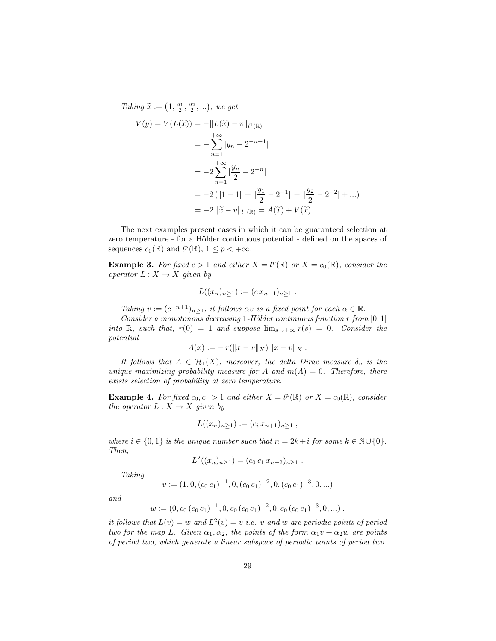*Taking*  $\tilde{x} := (1, \frac{y_1}{2}, \frac{y_2}{2}, \ldots),$  *we get* 

$$
V(y) = V(L(\tilde{x})) = -\|L(\tilde{x}) - v\|_{l^{1}(\mathbb{R})}
$$
  
=  $-\sum_{n=1}^{+\infty} |y_n - 2^{-n+1}|$   
=  $-2\sum_{n=1}^{+\infty} |\frac{y_n}{2} - 2^{-n}|$   
=  $-2(|1 - 1| + |\frac{y_1}{2} - 2^{-1}| + |\frac{y_2}{2} - 2^{-2}| + ...)$   
=  $-2||\tilde{x} - v||_{l^{1}(\mathbb{R})} = A(\tilde{x}) + V(\tilde{x}).$ 

The next examples present cases in which it can be guaranteed selection at zero temperature - for a Hölder continuous potential - defined on the spaces of sequences  $c_0(\mathbb{R})$  and  $l^p(\mathbb{R})$ ,  $1 \leq p < +\infty$ .

**Example 3.** For fixed  $c > 1$  and either  $X = l^p(\mathbb{R})$  or  $X = c_0(\mathbb{R})$ , consider the *operator*  $L: X \rightarrow X$  *given by* 

$$
L((x_n)_{n\geq 1}) := (c\,x_{n+1})_{n\geq 1} \; .
$$

*Taking*  $v := (c^{-n+1})_{n \geq 1}$ *, it follows*  $\alpha v$  *is a fixed point for each*  $\alpha \in \mathbb{R}$ *.* 

*Consider a monotonous decreasing* 1*-H¨older continuous function* r *from* [0, 1] *into* R, such that,  $r(0) = 1$  and suppose  $\lim_{s\to+\infty} r(s) = 0$ . Consider the *potential*

$$
A(x) := -r(||x - v||_X) ||x - v||_X.
$$

*It follows that*  $A \in \mathcal{H}_1(X)$ *, moreover, the delta Dirac measure*  $\delta_v$  *is the unique maximizing probability measure for* A and  $m(A) = 0$ . Therefore, there *exists selection of probability at zero temperature.*

**Example 4.** For fixed  $c_0, c_1 > 1$  and either  $X = l^p(\mathbb{R})$  or  $X = c_0(\mathbb{R})$ , consider *the operator*  $L: X \rightarrow X$  *given by* 

$$
L((x_n)_{n\geq 1}) := (c_i x_{n+1})_{n\geq 1} ,
$$

*where*  $i \in \{0, 1\}$  *is the unique number such that*  $n = 2k + i$  *for some*  $k \in \mathbb{N} \cup \{0\}$ *. Then,*

$$
L^2((x_n)_{n\geq 1})=(c_0\,c_1\,x_{n+2})_{n\geq 1}.
$$

*Taking*

$$
v:=(1,0,(c_0\,c_1)^{-1},0,(c_0\,c_1)^{-2},0,(c_0\,c_1)^{-3},0,...)
$$

*and*

$$
w := (0, c_0 (c_0 c_1)^{-1}, 0, c_0 (c_0 c_1)^{-2}, 0, c_0 (c_0 c_1)^{-3}, 0, ...)
$$

*it follows that*  $L(v) = w$  *and*  $L^2(v) = v$  *i.e. v and w are periodic points of period two for the map L. Given*  $\alpha_1, \alpha_2$ *, the points of the form*  $\alpha_1 v + \alpha_2 w$  *are points of period two, which generate a linear subspace of periodic points of period two.*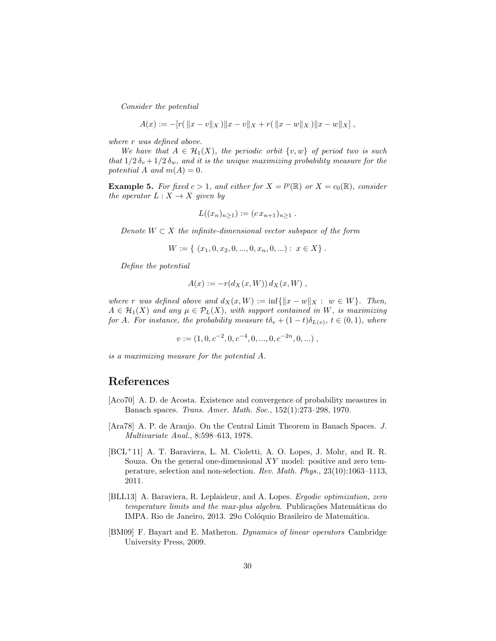*Consider the potential*

$$
A(x) := -[r(\|x-v\|_X)\|x-v\|_X+r(\|x-w\|_X)\|x-w\|_X],
$$

*where* r *was defined above.*

*We have that*  $A \in \mathcal{H}_1(X)$ *, the periodic orbit*  $\{v, w\}$  *of period two is such that*  $1/2 \delta_v + 1/2 \delta_w$ *, and it is the unique maximizing probability measure for the potential* A *and*  $m(A) = 0$ *.* 

**Example 5.** For fixed  $c > 1$ , and either for  $X = l^p(\mathbb{R})$  or  $X = c_0(\mathbb{R})$ , consider *the operator*  $L: X \rightarrow X$  *given by* 

$$
L((x_n)_{n\geq 1}) := (c\,x_{n+1})_{n\geq 1} \; .
$$

*Denote*  $W \subset X$  *the infinite-dimensional vector subspace of the form* 

$$
W := \{ (x_1, 0, x_2, 0, ..., 0, x_n, 0, ...): x \in X \}.
$$

*Define the potential*

$$
A(x) := -r(d_X(x, W)) d_X(x, W) ,
$$

*where* r *was defined above and*  $d_X(x, W) := \inf \{ ||x - w||_X : w \in W \}$ *. Then,*  $A \in \mathcal{H}_1(X)$  and any  $\mu \in \mathcal{P}_L(X)$ , with support contained in W, is maximizing *for* A. For instance, the probability measure  $t\delta_v + (1-t)\delta_{L(v)}, t \in (0,1)$ , where

 $v := (1, 0, c^{-2}, 0, c^{-4}, 0, ..., 0, c^{-2n}, 0, ...)$ ,

*is a maximizing measure for the potential* A*.*

## References

- <span id="page-29-3"></span>[Aco70] A. D. de Acosta. Existence and convergence of probability measures in Banach spaces. *Trans. Amer. Math. Soc.*, 152(1):273–298, 1970.
- <span id="page-29-4"></span>[Ara78] A. P. de Araujo. On the Central Limit Theorem in Banach Spaces. *J. Multivariate Anal.*, 8:598–613, 1978.
- <span id="page-29-2"></span>[BCL<sup>+</sup>11] A. T. Baraviera, L. M. Cioletti, A. O. Lopes, J. Mohr, and R. R. Souza. On the general one-dimensional  $XY$  model: positive and zero temperature, selection and non-selection. *Rev. Math. Phys.*, 23(10):1063–1113, 2011.
- <span id="page-29-0"></span>[BLL13] A. Baraviera, R. Leplaideur, and A. Lopes. *Ergodic optimization, zero temperature limits and the max-plus algebra*. Publicações Matemáticas do IMPA. Rio de Janeiro, 2013. 29º Colóquio Brasileiro de Matemática.
- <span id="page-29-1"></span>[BM09] F. Bayart and E. Matheron. *Dynamics of linear operators* Cambridge University Press, 2009.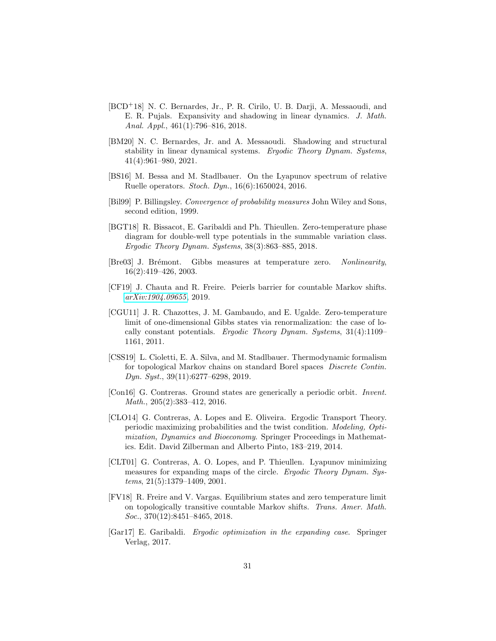- <span id="page-30-1"></span>[BCD<sup>+</sup>18] N. C. Bernardes, Jr., P. R. Cirilo, U. B. Darji, A. Messaoudi, and E. R. Pujals. Expansivity and shadowing in linear dynamics. *J. Math. Anal. Appl.*, 461(1):796–816, 2018.
- <span id="page-30-2"></span>[BM20] N. C. Bernardes, Jr. and A. Messaoudi. Shadowing and structural stability in linear dynamical systems. *Ergodic Theory Dynam. Systems*, 41(4):961–980, 2021.
- <span id="page-30-11"></span>[BS16] M. Bessa and M. Stadlbauer. On the Lyapunov spectrum of relative Ruelle operators. *Stoch. Dyn.*, 16(6):1650024, 2016.
- <span id="page-30-13"></span>[Bil99] P. Billingsley. *Convergence of probability measures* John Wiley and Sons, second edition, 1999.
- <span id="page-30-3"></span>[BGT18] R. Bissacot, E. Garibaldi and Ph. Thieullen. Zero-temperature phase diagram for double-well type potentials in the summable variation class. *Ergodic Theory Dynam. Systems*, 38(3):863–885, 2018.
- <span id="page-30-7"></span>[Bre03] J. Brémont. Gibbs measures at temperature zero. *Nonlinearity*, 16(2):419–426, 2003.
- <span id="page-30-9"></span>[CF19] J. Chauta and R. Freire. Peierls barrier for countable Markov shifts. *[arXiv:1904.09655](http://arxiv.org/abs/1904.09655)*, 2019.
- <span id="page-30-8"></span>[CGU11] J. R. Chazottes, J. M. Gambaudo, and E. Ugalde. Zero-temperature limit of one-dimensional Gibbs states via renormalization: the case of locally constant potentials. *Ergodic Theory Dynam. Systems*, 31(4):1109– 1161, 2011.
- <span id="page-30-10"></span>[CSS19] L. Cioletti, E. A. Silva, and M. Stadlbauer. Thermodynamic formalism for topological Markov chains on standard Borel spaces *Discrete Contin. Dyn. Syst.*, 39(11):6277–6298, 2019.
- <span id="page-30-6"></span>[Con16] G. Contreras. Ground states are generically a periodic orbit. *Invent. Math.*, 205(2):383–412, 2016.
- <span id="page-30-12"></span>[CLO14] G. Contreras, A. Lopes and E. Oliveira. Ergodic Transport Theory. periodic maximizing probabilities and the twist condition. *Modeling, Optimization, Dynamics and Bioeconomy*. Springer Proceedings in Mathematics. Edit. David Zilberman and Alberto Pinto, 183–219, 2014.
- <span id="page-30-4"></span>[CLT01] G. Contreras, A. O. Lopes, and P. Thieullen. Lyapunov minimizing measures for expanding maps of the circle. *Ergodic Theory Dynam. Systems*, 21(5):1379–1409, 2001.
- <span id="page-30-5"></span>[FV18] R. Freire and V. Vargas. Equilibrium states and zero temperature limit on topologically transitive countable Markov shifts. *Trans. Amer. Math. Soc.*, 370(12):8451–8465, 2018.
- <span id="page-30-0"></span>[Gar17] E. Garibaldi. *Ergodic optimization in the expanding case*. Springer Verlag, 2017.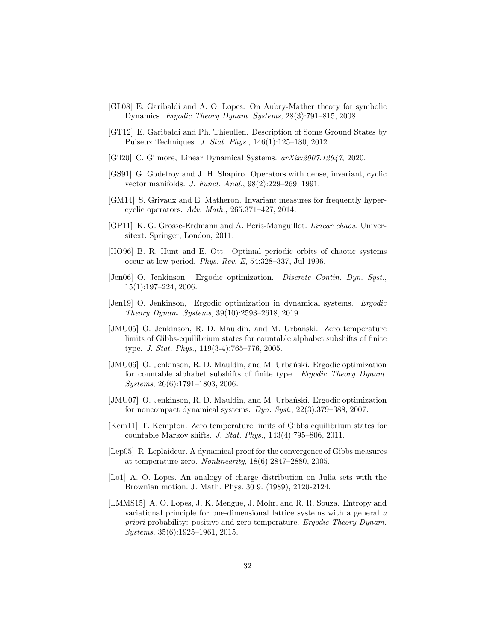- <span id="page-31-12"></span>[GL08] E. Garibaldi and A. O. Lopes. On Aubry-Mather theory for symbolic Dynamics. *Ergodic Theory Dynam. Systems*, 28(3):791–815, 2008.
- <span id="page-31-5"></span>[GT12] E. Garibaldi and Ph. Thieullen. Description of Some Ground States by Puiseux Techniques. *J. Stat. Phys.*, 146(1):125–180, 2012.
- <span id="page-31-13"></span>[Gil20] C. Gilmore, Linear Dynamical Systems. *arXix:2007.12647*, 2020.
- <span id="page-31-2"></span>[GS91] G. Godefroy and J. H. Shapiro. Operators with dense, invariant, cyclic vector manifolds. *J. Funct. Anal.*, 98(2):229–269, 1991.
- <span id="page-31-3"></span>[GM14] S. Grivaux and E. Matheron. Invariant measures for frequently hypercyclic operators. *Adv. Math.*, 265:371–427, 2014.
- <span id="page-31-4"></span>[GP11] K. G. Grosse-Erdmann and A. Peris-Manguillot. *Linear chaos*. Universitext. Springer, London, 2011.
- [HO96] B. R. Hunt and E. Ott. Optimal periodic orbits of chaotic systems occur at low period. *Phys. Rev. E*, 54:328–337, Jul 1996.
- <span id="page-31-0"></span>[Jen06] O. Jenkinson. Ergodic optimization. *Discrete Contin. Dyn. Syst.*, 15(1):197–224, 2006.
- <span id="page-31-1"></span>[Jen19] O. Jenkinson, Ergodic optimization in dynamical systems. *Ergodic Theory Dynam. Systems*, 39(10):2593–2618, 2019.
- <span id="page-31-8"></span>[JMU05] O. Jenkinson, R. D. Mauldin, and M. Urbański. Zero temperature limits of Gibbs-equilibrium states for countable alphabet subshifts of finite type. *J. Stat. Phys.*, 119(3-4):765–776, 2005.
- <span id="page-31-6"></span>[JMU06] O. Jenkinson, R. D. Mauldin, and M. Urbański. Ergodic optimization for countable alphabet subshifts of finite type. *Ergodic Theory Dynam. Systems*, 26(6):1791–1803, 2006.
- <span id="page-31-7"></span>[JMU07] O. Jenkinson, R. D. Mauldin, and M. Urbański. Ergodic optimization for noncompact dynamical systems. *Dyn. Syst.*, 22(3):379–388, 2007.
- <span id="page-31-9"></span>[Kem11] T. Kempton. Zero temperature limits of Gibbs equilibrium states for countable Markov shifts. *J. Stat. Phys.*, 143(4):795–806, 2011.
- <span id="page-31-10"></span>[Lep05] R. Leplaideur. A dynamical proof for the convergence of Gibbs measures at temperature zero. *Nonlinearity*, 18(6):2847–2880, 2005.
- <span id="page-31-14"></span>[Lo1] A. O. Lopes. An analogy of charge distribution on Julia sets with the Brownian motion. J. Math. Phys. 30 9. (1989), 2120-2124.
- <span id="page-31-11"></span>[LMMS15] A. O. Lopes, J. K. Mengue, J. Mohr, and R. R. Souza. Entropy and variational principle for one-dimensional lattice systems with a general *a priori* probability: positive and zero temperature. *Ergodic Theory Dynam. Systems*, 35(6):1925–1961, 2015.